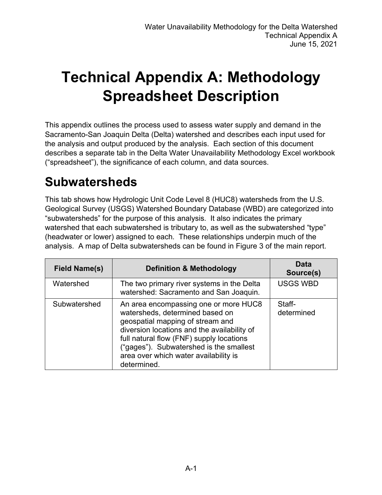# **Technical Appendix A: Methodology Spreadsheet Description**

This appendix outlines the process used to assess water supply and demand in the Sacramento-San Joaquin Delta (Delta) watershed and describes each input used for the analysis and output produced by the analysis. Each section of this document describes a separate tab in the Delta Water Unavailability Methodology Excel workbook ("spreadsheet"), the significance of each column, and data sources.

#### **Subwatersheds**

This tab shows how Hydrologic Unit Code Level 8 (HUC8) watersheds from the U.S. Geological Survey (USGS) Watershed Boundary Database (WBD) are categorized into "subwatersheds" for the purpose of this analysis. It also indicates the primary watershed that each subwatershed is tributary to, as well as the subwatershed "type" (headwater or lower) assigned to each. These relationships underpin much of the analysis. A map of Delta subwatersheds can be found in Figure 3 of the main report.

| <b>Field Name(s)</b> | <b>Definition &amp; Methodology</b>                                                                                                                                                                                                                                                                        | Data<br>Source(s)    |
|----------------------|------------------------------------------------------------------------------------------------------------------------------------------------------------------------------------------------------------------------------------------------------------------------------------------------------------|----------------------|
| Watershed            | The two primary river systems in the Delta<br>watershed: Sacramento and San Joaquin.                                                                                                                                                                                                                       | <b>USGS WBD</b>      |
| Subwatershed         | An area encompassing one or more HUC8<br>watersheds, determined based on<br>geospatial mapping of stream and<br>diversion locations and the availability of<br>full natural flow (FNF) supply locations<br>("gages"). Subwatershed is the smallest<br>area over which water availability is<br>determined. | Staff-<br>determined |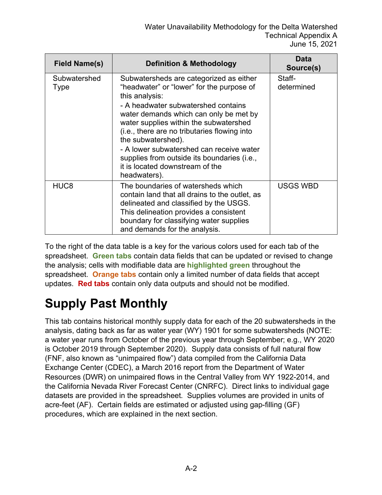| <b>Field Name(s)</b> | <b>Definition &amp; Methodology</b>                                                                                                                                                                                                                                                                                                                                                                                                                   | Data<br>Source(s)    |
|----------------------|-------------------------------------------------------------------------------------------------------------------------------------------------------------------------------------------------------------------------------------------------------------------------------------------------------------------------------------------------------------------------------------------------------------------------------------------------------|----------------------|
| Subwatershed<br>Type | Subwatersheds are categorized as either<br>"headwater" or "lower" for the purpose of<br>this analysis:<br>- A headwater subwatershed contains<br>water demands which can only be met by<br>water supplies within the subwatershed<br>(i.e., there are no tributaries flowing into<br>the subwatershed).<br>- A lower subwatershed can receive water<br>supplies from outside its boundaries (i.e.,<br>it is located downstream of the<br>headwaters). | Staff-<br>determined |
| HUC <sub>8</sub>     | The boundaries of watersheds which<br>contain land that all drains to the outlet, as<br>delineated and classified by the USGS.<br>This delineation provides a consistent<br>boundary for classifying water supplies<br>and demands for the analysis.                                                                                                                                                                                                  | <b>USGS WBD</b>      |

To the right of the data table is a key for the various colors used for each tab of the spreadsheet. **Green tabs** contain data fields that can be updated or revised to change the analysis; cells with modifiable data are **highlighted green** throughout the spreadsheet. **Orange tabs** contain only a limited number of data fields that accept updates. **Red tabs** contain only data outputs and should not be modified.

# **Supply Past Monthly**

This tab contains historical monthly supply data for each of the 20 subwatersheds in the analysis, dating back as far as water year (WY) 1901 for some subwatersheds (NOTE: a water year runs from October of the previous year through September; e.g., WY 2020 is October 2019 through September 2020). Supply data consists of full natural flow (FNF, also known as "unimpaired flow") data compiled from the California Data Exchange Center (CDEC), a March 2016 report from the Department of Water Resources (DWR) on unimpaired flows in the Central Valley from WY 1922-2014, and the California Nevada River Forecast Center (CNRFC). Direct links to individual gage datasets are provided in the spreadsheet. Supplies volumes are provided in units of acre-feet (AF). Certain fields are estimated or adjusted using gap-filling (GF) procedures, which are explained in the next section.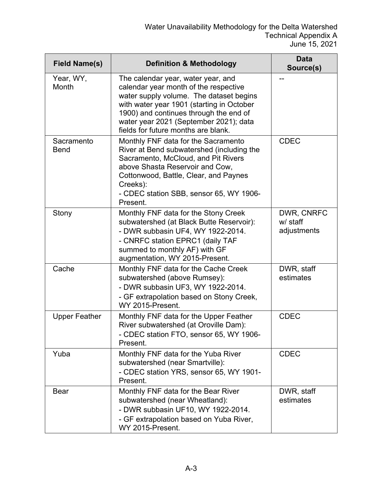| <b>Field Name(s)</b>      | <b>Definition &amp; Methodology</b>                                                                                                                                                                                                                                                            | <b>Data</b><br>Source(s)              |
|---------------------------|------------------------------------------------------------------------------------------------------------------------------------------------------------------------------------------------------------------------------------------------------------------------------------------------|---------------------------------------|
| Year, WY,<br>Month        | The calendar year, water year, and<br>calendar year month of the respective<br>water supply volume. The dataset begins<br>with water year 1901 (starting in October<br>1900) and continues through the end of<br>water year 2021 (September 2021); data<br>fields for future months are blank. |                                       |
| Sacramento<br><b>Bend</b> | Monthly FNF data for the Sacramento<br>River at Bend subwatershed (including the<br>Sacramento, McCloud, and Pit Rivers<br>above Shasta Reservoir and Cow,<br>Cottonwood, Battle, Clear, and Paynes<br>Creeks):<br>- CDEC station SBB, sensor 65, WY 1906-<br>Present.                         | <b>CDEC</b>                           |
| Stony                     | Monthly FNF data for the Stony Creek<br>subwatershed (at Black Butte Reservoir):<br>- DWR subbasin UF4, WY 1922-2014.<br>- CNRFC station EPRC1 (daily TAF<br>summed to monthly AF) with GF<br>augmentation, WY 2015-Present.                                                                   | DWR, CNRFC<br>w/ staff<br>adjustments |
| Cache                     | Monthly FNF data for the Cache Creek<br>subwatershed (above Rumsey):<br>- DWR subbasin UF3, WY 1922-2014.<br>- GF extrapolation based on Stony Creek,<br>WY 2015-Present.                                                                                                                      | DWR, staff<br>estimates               |
| <b>Upper Feather</b>      | Monthly FNF data for the Upper Feather<br>River subwatershed (at Oroville Dam):<br>- CDEC station FTO, sensor 65, WY 1906-<br>Present.                                                                                                                                                         | <b>CDEC</b>                           |
| Yuba                      | Monthly FNF data for the Yuba River<br>subwatershed (near Smartville):<br>- CDEC station YRS, sensor 65, WY 1901-<br>Present.                                                                                                                                                                  | <b>CDEC</b>                           |
| <b>Bear</b>               | Monthly FNF data for the Bear River<br>subwatershed (near Wheatland):<br>- DWR subbasin UF10, WY 1922-2014.<br>- GF extrapolation based on Yuba River,<br>WY 2015-Present.                                                                                                                     | DWR, staff<br>estimates               |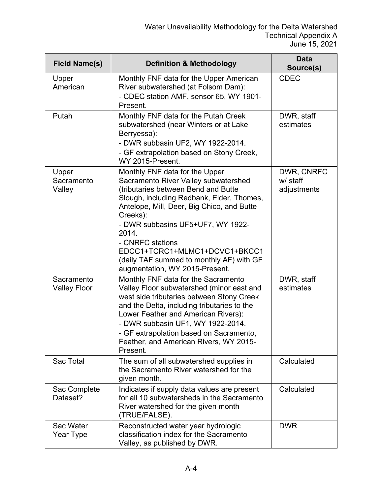| <b>Field Name(s)</b>              | <b>Definition &amp; Methodology</b>                                                                                                                                                                                                                                                                                                                                                                   | <b>Data</b><br>Source(s)              |
|-----------------------------------|-------------------------------------------------------------------------------------------------------------------------------------------------------------------------------------------------------------------------------------------------------------------------------------------------------------------------------------------------------------------------------------------------------|---------------------------------------|
| Upper<br>American                 | Monthly FNF data for the Upper American<br>River subwatershed (at Folsom Dam):<br>- CDEC station AMF, sensor 65, WY 1901-<br>Present.                                                                                                                                                                                                                                                                 | <b>CDEC</b>                           |
| Putah                             | Monthly FNF data for the Putah Creek<br>subwatershed (near Winters or at Lake<br>Berryessa):<br>- DWR subbasin UF2, WY 1922-2014.<br>- GF extrapolation based on Stony Creek,<br>WY 2015-Present.                                                                                                                                                                                                     | DWR, staff<br>estimates               |
| Upper<br>Sacramento<br>Valley     | Monthly FNF data for the Upper<br>Sacramento River Valley subwatershed<br>(tributaries between Bend and Butte<br>Slough, including Redbank, Elder, Thomes,<br>Antelope, Mill, Deer, Big Chico, and Butte<br>Creeks):<br>- DWR subbasins UF5+UF7, WY 1922-<br>2014.<br>- CNRFC stations<br>EDCC1+TCRC1+MLMC1+DCVC1+BKCC1<br>(daily TAF summed to monthly AF) with GF<br>augmentation, WY 2015-Present. | DWR, CNRFC<br>w/ staff<br>adjustments |
| Sacramento<br><b>Valley Floor</b> | Monthly FNF data for the Sacramento<br>Valley Floor subwatershed (minor east and<br>west side tributaries between Stony Creek<br>and the Delta, including tributaries to the<br>Lower Feather and American Rivers):<br>- DWR subbasin UF1, WY 1922-2014.<br>- GF extrapolation based on Sacramento,<br>Feather, and American Rivers, WY 2015-<br>Present.                                             | DWR, staff<br>estimates               |
| Sac Total                         | The sum of all subwatershed supplies in<br>the Sacramento River watershed for the<br>given month.                                                                                                                                                                                                                                                                                                     | Calculated                            |
| Sac Complete<br>Dataset?          | Indicates if supply data values are present<br>for all 10 subwatersheds in the Sacramento<br>River watershed for the given month<br>(TRUE/FALSE).                                                                                                                                                                                                                                                     | Calculated                            |
| Sac Water<br>Year Type            | Reconstructed water year hydrologic<br>classification index for the Sacramento<br>Valley, as published by DWR.                                                                                                                                                                                                                                                                                        | <b>DWR</b>                            |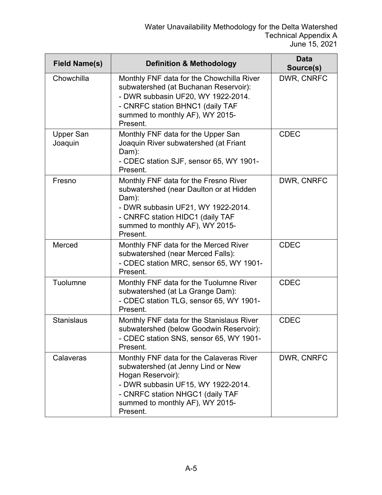| <b>Field Name(s)</b>        | <b>Definition &amp; Methodology</b>                                                                                                                                                                                          | <b>Data</b><br>Source(s) |
|-----------------------------|------------------------------------------------------------------------------------------------------------------------------------------------------------------------------------------------------------------------------|--------------------------|
| Chowchilla                  | Monthly FNF data for the Chowchilla River<br>subwatershed (at Buchanan Reservoir):<br>- DWR subbasin UF20, WY 1922-2014.<br>- CNRFC station BHNC1 (daily TAF<br>summed to monthly AF), WY 2015-<br>Present.                  | DWR, CNRFC               |
| <b>Upper San</b><br>Joaquin | Monthly FNF data for the Upper San<br>Joaquin River subwatershed (at Friant<br>Dam):<br>- CDEC station SJF, sensor 65, WY 1901-<br>Present.                                                                                  | <b>CDEC</b>              |
| Fresno                      | Monthly FNF data for the Fresno River<br>subwatershed (near Daulton or at Hidden<br>Dam):<br>- DWR subbasin UF21, WY 1922-2014.<br>- CNRFC station HIDC1 (daily TAF<br>summed to monthly AF), WY 2015-<br>Present.           | DWR, CNRFC               |
| Merced                      | Monthly FNF data for the Merced River<br>subwatershed (near Merced Falls):<br>- CDEC station MRC, sensor 65, WY 1901-<br>Present.                                                                                            | <b>CDEC</b>              |
| Tuolumne                    | Monthly FNF data for the Tuolumne River<br>subwatershed (at La Grange Dam):<br>- CDEC station TLG, sensor 65, WY 1901-<br>Present.                                                                                           | <b>CDEC</b>              |
| <b>Stanislaus</b>           | Monthly FNF data for the Stanislaus River<br>subwatershed (below Goodwin Reservoir):<br>- CDEC station SNS, sensor 65, WY 1901-<br>Present.                                                                                  | <b>CDEC</b>              |
| Calaveras                   | Monthly FNF data for the Calaveras River<br>subwatershed (at Jenny Lind or New<br>Hogan Reservoir):<br>- DWR subbasin UF15, WY 1922-2014.<br>- CNRFC station NHGC1 (daily TAF<br>summed to monthly AF), WY 2015-<br>Present. | DWR, CNRFC               |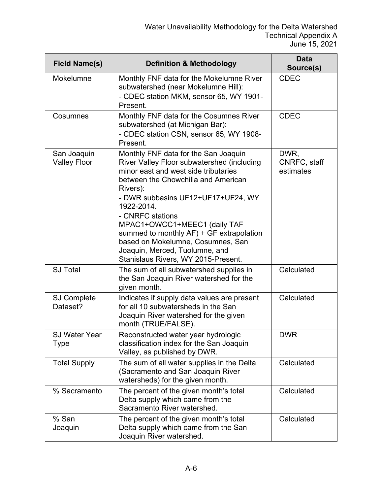| <b>Field Name(s)</b>               | <b>Definition &amp; Methodology</b>                                                                                                                                                                                                                                                                                                                                                                                                             | <b>Data</b><br>Source(s)          |
|------------------------------------|-------------------------------------------------------------------------------------------------------------------------------------------------------------------------------------------------------------------------------------------------------------------------------------------------------------------------------------------------------------------------------------------------------------------------------------------------|-----------------------------------|
| Mokelumne                          | Monthly FNF data for the Mokelumne River<br>subwatershed (near Mokelumne Hill):<br>- CDEC station MKM, sensor 65, WY 1901-<br>Present.                                                                                                                                                                                                                                                                                                          | <b>CDEC</b>                       |
| Cosumnes                           | Monthly FNF data for the Cosumnes River<br>subwatershed (at Michigan Bar):<br>- CDEC station CSN, sensor 65, WY 1908-<br>Present.                                                                                                                                                                                                                                                                                                               | <b>CDEC</b>                       |
| San Joaquin<br><b>Valley Floor</b> | Monthly FNF data for the San Joaquin<br>River Valley Floor subwatershed (including<br>minor east and west side tributaries<br>between the Chowchilla and American<br>Rivers):<br>- DWR subbasins UF12+UF17+UF24, WY<br>1922-2014.<br>- CNRFC stations<br>MPAC1+OWCC1+MEEC1 (daily TAF<br>summed to monthly AF) + GF extrapolation<br>based on Mokelumne, Cosumnes, San<br>Joaquin, Merced, Tuolumne, and<br>Stanislaus Rivers, WY 2015-Present. | DWR,<br>CNRFC, staff<br>estimates |
| <b>SJ Total</b>                    | The sum of all subwatershed supplies in<br>the San Joaquin River watershed for the<br>given month.                                                                                                                                                                                                                                                                                                                                              | Calculated                        |
| <b>SJ Complete</b><br>Dataset?     | Indicates if supply data values are present<br>for all 10 subwatersheds in the San<br>Joaquin River watershed for the given<br>month (TRUE/FALSE).                                                                                                                                                                                                                                                                                              | Calculated                        |
| <b>SJ Water Year</b><br>Type       | Reconstructed water year hydrologic<br>classification index for the San Joaquin<br>Valley, as published by DWR.                                                                                                                                                                                                                                                                                                                                 | <b>DWR</b>                        |
| <b>Total Supply</b>                | The sum of all water supplies in the Delta<br>(Sacramento and San Joaquin River<br>watersheds) for the given month.                                                                                                                                                                                                                                                                                                                             | Calculated                        |
| % Sacramento                       | The percent of the given month's total<br>Delta supply which came from the<br>Sacramento River watershed.                                                                                                                                                                                                                                                                                                                                       | Calculated                        |
| % San<br>Joaquin                   | The percent of the given month's total<br>Delta supply which came from the San<br>Joaquin River watershed.                                                                                                                                                                                                                                                                                                                                      | Calculated                        |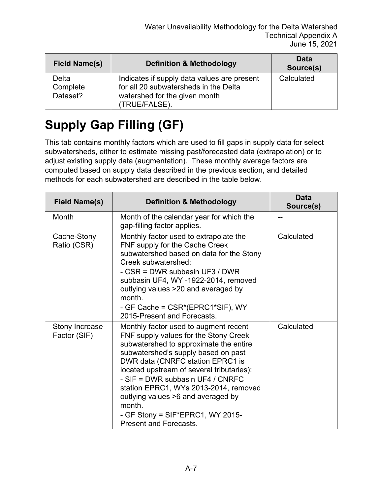| <b>Field Name(s)</b>                 | <b>Definition &amp; Methodology</b>                                                                                                    | <b>Data</b><br>Source(s) |
|--------------------------------------|----------------------------------------------------------------------------------------------------------------------------------------|--------------------------|
| <b>Delta</b><br>Complete<br>Dataset? | Indicates if supply data values are present<br>for all 20 subwatersheds in the Delta<br>watershed for the given month<br>(TRUE/FALSE). | Calculated               |

# **Supply Gap Filling (GF)**

This tab contains monthly factors which are used to fill gaps in supply data for select subwatersheds, either to estimate missing past/forecasted data (extrapolation) or to adjust existing supply data (augmentation). These monthly average factors are computed based on supply data described in the previous section, and detailed methods for each subwatershed are described in the table below.

| <b>Field Name(s)</b>           | <b>Definition &amp; Methodology</b>                                                                                                                                                                                                                                                                                                                                                                                                                   | Data<br>Source(s) |
|--------------------------------|-------------------------------------------------------------------------------------------------------------------------------------------------------------------------------------------------------------------------------------------------------------------------------------------------------------------------------------------------------------------------------------------------------------------------------------------------------|-------------------|
| Month                          | Month of the calendar year for which the<br>gap-filling factor applies.                                                                                                                                                                                                                                                                                                                                                                               |                   |
| Cache-Stony<br>Ratio (CSR)     | Monthly factor used to extrapolate the<br>FNF supply for the Cache Creek<br>subwatershed based on data for the Stony<br>Creek subwatershed:<br>- CSR = DWR subbasin UF3 / DWR<br>subbasin UF4, WY -1922-2014, removed<br>outlying values >20 and averaged by<br>month.<br>- GF Cache = CSR*(EPRC1*SIF), WY<br>2015-Present and Forecasts.                                                                                                             | Calculated        |
| Stony Increase<br>Factor (SIF) | Monthly factor used to augment recent<br>FNF supply values for the Stony Creek<br>subwatershed to approximate the entire<br>subwatershed's supply based on past<br>DWR data (CNRFC station EPRC1 is<br>located upstream of several tributaries):<br>- SIF = DWR subbasin UF4 / CNRFC<br>station EPRC1, WYs 2013-2014, removed<br>outlying values >6 and averaged by<br>month.<br>- GF Stony = $SIF*EPRC1$ , WY 2015-<br><b>Present and Forecasts.</b> | Calculated        |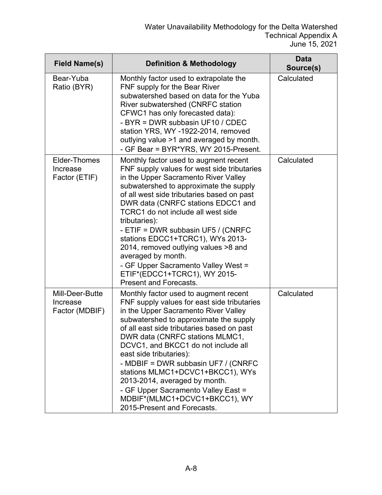| <b>Field Name(s)</b>                          | <b>Definition &amp; Methodology</b>                                                                                                                                                                                                                                                                                                                                                                                                                                                                                                                               | <b>Data</b><br>Source(s) |
|-----------------------------------------------|-------------------------------------------------------------------------------------------------------------------------------------------------------------------------------------------------------------------------------------------------------------------------------------------------------------------------------------------------------------------------------------------------------------------------------------------------------------------------------------------------------------------------------------------------------------------|--------------------------|
| Bear-Yuba<br>Ratio (BYR)                      | Monthly factor used to extrapolate the<br>FNF supply for the Bear River<br>subwatershed based on data for the Yuba<br>River subwatershed (CNRFC station<br>CFWC1 has only forecasted data):<br>- BYR = DWR subbasin UF10 / CDEC<br>station YRS, WY -1922-2014, removed<br>outlying value >1 and averaged by month.<br>- GF Bear = BYR*YRS, WY 2015-Present.                                                                                                                                                                                                       | Calculated               |
| Elder-Thomes<br>Increase<br>Factor (ETIF)     | Monthly factor used to augment recent<br>FNF supply values for west side tributaries<br>in the Upper Sacramento River Valley<br>subwatershed to approximate the supply<br>of all west side tributaries based on past<br>DWR data (CNRFC stations EDCC1 and<br>TCRC1 do not include all west side<br>tributaries):<br>- ETIF = DWR subbasin UF5 / (CNRFC<br>stations EDCC1+TCRC1), WYs 2013-<br>2014, removed outlying values >8 and<br>averaged by month.<br>- GF Upper Sacramento Valley West =<br>ETIF*(EDCC1+TCRC1), WY 2015-<br><b>Present and Forecasts.</b> | Calculated               |
| Mill-Deer-Butte<br>Increase<br>Factor (MDBIF) | Monthly factor used to augment recent<br>FNF supply values for east side tributaries<br>in the Upper Sacramento River Valley<br>subwatershed to approximate the supply<br>of all east side tributaries based on past<br>DWR data (CNRFC stations MLMC1,<br>DCVC1, and BKCC1 do not include all<br>east side tributaries):<br>- MDBIF = DWR subbasin UF7 / (CNRFC<br>stations MLMC1+DCVC1+BKCC1), WYs<br>2013-2014, averaged by month.<br>- GF Upper Sacramento Valley East =<br>MDBIF*(MLMC1+DCVC1+BKCC1), WY<br>2015-Present and Forecasts.                      | Calculated               |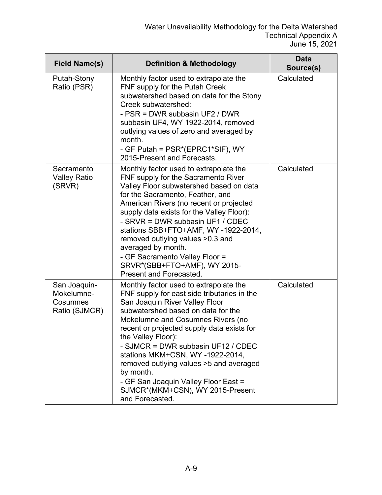| <b>Field Name(s)</b>                                    | <b>Definition &amp; Methodology</b>                                                                                                                                                                                                                                                                                                                                                                                                                                                                    | <b>Data</b><br>Source(s) |
|---------------------------------------------------------|--------------------------------------------------------------------------------------------------------------------------------------------------------------------------------------------------------------------------------------------------------------------------------------------------------------------------------------------------------------------------------------------------------------------------------------------------------------------------------------------------------|--------------------------|
| Putah-Stony<br>Ratio (PSR)                              | Monthly factor used to extrapolate the<br>FNF supply for the Putah Creek<br>subwatershed based on data for the Stony<br>Creek subwatershed:<br>- PSR = DWR subbasin UF2 / DWR<br>subbasin UF4, WY 1922-2014, removed<br>outlying values of zero and averaged by<br>month.<br>- GF Putah = PSR*(EPRC1*SIF), WY<br>2015-Present and Forecasts.                                                                                                                                                           | Calculated               |
| Sacramento<br><b>Valley Ratio</b><br>(SRVR)             | Monthly factor used to extrapolate the<br>FNF supply for the Sacramento River<br>Valley Floor subwatershed based on data<br>for the Sacramento, Feather, and<br>American Rivers (no recent or projected<br>supply data exists for the Valley Floor):<br>- SRVR = DWR subbasin UF1 / CDEC<br>stations SBB+FTO+AMF, WY-1922-2014,<br>removed outlying values >0.3 and<br>averaged by month.<br>- GF Sacramento Valley Floor =<br>SRVR*(SBB+FTO+AMF), WY 2015-<br>Present and Forecasted.                 | Calculated               |
| San Joaquin-<br>Mokelumne-<br>Cosumnes<br>Ratio (SJMCR) | Monthly factor used to extrapolate the<br>FNF supply for east side tributaries in the<br>San Joaquin River Valley Floor<br>subwatershed based on data for the<br>Mokelumne and Cosumnes Rivers (no<br>recent or projected supply data exists for<br>the Valley Floor):<br>- SJMCR = DWR subbasin UF12 / CDEC<br>stations MKM+CSN, WY-1922-2014,<br>removed outlying values >5 and averaged<br>by month.<br>- GF San Joaquin Valley Floor East =<br>SJMCR*(MKM+CSN), WY 2015-Present<br>and Forecasted. | Calculated               |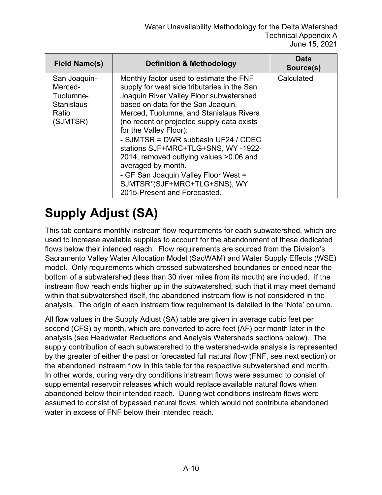| <b>Field Name(s)</b>                                                           | <b>Definition &amp; Methodology</b>                                                                                                                                                                                                                                                                                                                                                                                                                                                                                                              | Data<br>Source(s) |
|--------------------------------------------------------------------------------|--------------------------------------------------------------------------------------------------------------------------------------------------------------------------------------------------------------------------------------------------------------------------------------------------------------------------------------------------------------------------------------------------------------------------------------------------------------------------------------------------------------------------------------------------|-------------------|
| San Joaquin-<br>Merced-<br>Tuolumne-<br><b>Stanislaus</b><br>Ratio<br>(SJMTSR) | Monthly factor used to estimate the FNF<br>supply for west side tributaries in the San<br>Joaquin River Valley Floor subwatershed<br>based on data for the San Joaquin,<br>Merced, Tuolumne, and Stanislaus Rivers<br>(no recent or projected supply data exists<br>for the Valley Floor):<br>- SJMTSR = DWR subbasin UF24 / CDEC<br>stations SJF+MRC+TLG+SNS, WY-1922-<br>2014, removed outlying values >0.06 and<br>averaged by month.<br>- GF San Joaquin Valley Floor West =<br>SJMTSR*(SJF+MRC+TLG+SNS), WY<br>2015-Present and Forecasted. | Calculated        |

# **Supply Adjust (SA)**

This tab contains monthly instream flow requirements for each subwatershed, which are used to increase available supplies to account for the abandonment of these dedicated flows below their intended reach. Flow requirements are sourced from the Division's Sacramento Valley Water Allocation Model (SacWAM) and Water Supply Effects (WSE) model. Only requirements which crossed subwatershed boundaries or ended near the bottom of a subwatershed (less than 30 river miles from its mouth) are included. If the instream flow reach ends higher up in the subwatershed, such that it may meet demand within that subwatershed itself, the abandoned instream flow is not considered in the analysis. The origin of each instream flow requirement is detailed in the 'Note' column.

All flow values in the Supply Adjust (SA) table are given in average cubic feet per second (CFS) by month, which are converted to acre-feet (AF) per month later in the analysis (see Headwater Reductions and Analysis Watersheds sections below). The supply contribution of each subwatershed to the watershed-wide analysis is represented by the greater of either the past or forecasted full natural flow (FNF, see next section) or the abandoned instream flow in this table for the respective subwatershed and month. In other words, during very dry conditions instream flows were assumed to consist of supplemental reservoir releases which would replace available natural flows when abandoned below their intended reach. During wet conditions instream flows were assumed to consist of bypassed natural flows, which would not contribute abandoned water in excess of FNF below their intended reach.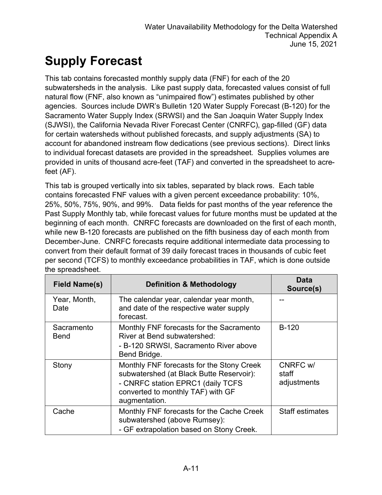# **Supply Forecast**

This tab contains forecasted monthly supply data (FNF) for each of the 20 subwatersheds in the analysis. Like past supply data, forecasted values consist of full natural flow (FNF, also known as "unimpaired flow") estimates published by other agencies. Sources include DWR's Bulletin 120 Water Supply Forecast (B-120) for the Sacramento Water Supply Index (SRWSI) and the San Joaquin Water Supply Index (SJWSI), the California Nevada River Forecast Center (CNRFC), gap-filled (GF) data for certain watersheds without published forecasts, and supply adjustments (SA) to account for abandoned instream flow dedications (see previous sections). Direct links to individual forecast datasets are provided in the spreadsheet. Supplies volumes are provided in units of thousand acre-feet (TAF) and converted in the spreadsheet to acrefeet (AF).

This tab is grouped vertically into six tables, separated by black rows. Each table contains forecasted FNF values with a given percent exceedance probability: 10%, 25%, 50%, 75%, 90%, and 99%. Data fields for past months of the year reference the Past Supply Monthly tab, while forecast values for future months must be updated at the beginning of each month. CNRFC forecasts are downloaded on the first of each month, while new B-120 forecasts are published on the fifth business day of each month from December-June. CNRFC forecasts require additional intermediate data processing to convert from their default format of 39 daily forecast traces in thousands of cubic feet per second (TCFS) to monthly exceedance probabilities in TAF, which is done outside the spreadsheet.

| <b>Field Name(s)</b>      | <b>Definition &amp; Methodology</b>                                                                                                                                              | Data<br>Source(s)                |
|---------------------------|----------------------------------------------------------------------------------------------------------------------------------------------------------------------------------|----------------------------------|
| Year, Month,<br>Date      | The calendar year, calendar year month,<br>and date of the respective water supply<br>forecast.                                                                                  |                                  |
| Sacramento<br><b>Bend</b> | Monthly FNF forecasts for the Sacramento<br>River at Bend subwatershed:<br>- B-120 SRWSI, Sacramento River above<br>Bend Bridge.                                                 | <b>B-120</b>                     |
| Stony                     | Monthly FNF forecasts for the Stony Creek<br>subwatershed (at Black Butte Reservoir):<br>- CNRFC station EPRC1 (daily TCFS<br>converted to monthly TAF) with GF<br>augmentation. | CNRFC w/<br>staff<br>adjustments |
| Cache                     | Monthly FNF forecasts for the Cache Creek<br>subwatershed (above Rumsey):<br>- GF extrapolation based on Stony Creek.                                                            | <b>Staff estimates</b>           |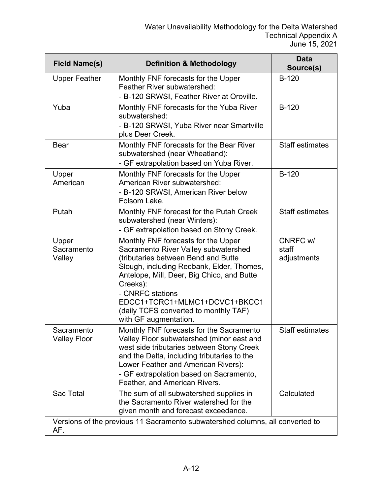| <b>Field Name(s)</b>              | <b>Definition &amp; Methodology</b>                                                                                                                                                                                                                                                                                                              | <b>Data</b><br>Source(s)         |
|-----------------------------------|--------------------------------------------------------------------------------------------------------------------------------------------------------------------------------------------------------------------------------------------------------------------------------------------------------------------------------------------------|----------------------------------|
| <b>Upper Feather</b>              | Monthly FNF forecasts for the Upper<br><b>Feather River subwatershed:</b><br>- B-120 SRWSI, Feather River at Oroville.                                                                                                                                                                                                                           | $B-120$                          |
| Yuba                              | Monthly FNF forecasts for the Yuba River<br>subwatershed:<br>- B-120 SRWSI, Yuba River near Smartville<br>plus Deer Creek.                                                                                                                                                                                                                       | $B-120$                          |
| <b>Bear</b>                       | Monthly FNF forecasts for the Bear River<br>subwatershed (near Wheatland):<br>- GF extrapolation based on Yuba River.                                                                                                                                                                                                                            | <b>Staff estimates</b>           |
| Upper<br>American                 | Monthly FNF forecasts for the Upper<br>American River subwatershed:<br>- B-120 SRWSI, American River below<br>Folsom Lake.                                                                                                                                                                                                                       | $B-120$                          |
| Putah                             | Monthly FNF forecast for the Putah Creek<br>subwatershed (near Winters):<br>- GF extrapolation based on Stony Creek.                                                                                                                                                                                                                             | <b>Staff estimates</b>           |
| Upper<br>Sacramento<br>Valley     | Monthly FNF forecasts for the Upper<br>Sacramento River Valley subwatershed<br>(tributaries between Bend and Butte<br>Slough, including Redbank, Elder, Thomes,<br>Antelope, Mill, Deer, Big Chico, and Butte<br>Creeks):<br>- CNRFC stations<br>EDCC1+TCRC1+MLMC1+DCVC1+BKCC1<br>(daily TCFS converted to monthly TAF)<br>with GF augmentation. | CNRFC w/<br>staff<br>adjustments |
| Sacramento<br><b>Valley Floor</b> | Monthly FNF forecasts for the Sacramento<br>Valley Floor subwatershed (minor east and<br>west side tributaries between Stony Creek<br>and the Delta, including tributaries to the<br>Lower Feather and American Rivers):<br>- GF extrapolation based on Sacramento,<br>Feather, and American Rivers.                                             | <b>Staff estimates</b>           |
| Sac Total                         | The sum of all subwatershed supplies in<br>the Sacramento River watershed for the<br>given month and forecast exceedance.                                                                                                                                                                                                                        | Calculated                       |
| AF.                               | Versions of the previous 11 Sacramento subwatershed columns, all converted to                                                                                                                                                                                                                                                                    |                                  |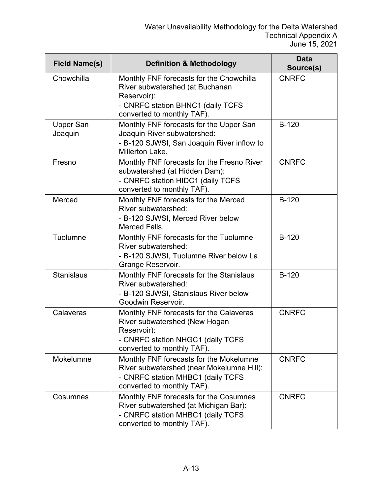| <b>Field Name(s)</b>        | <b>Definition &amp; Methodology</b>                                                                                                                           | <b>Data</b><br>Source(s) |
|-----------------------------|---------------------------------------------------------------------------------------------------------------------------------------------------------------|--------------------------|
| Chowchilla                  | Monthly FNF forecasts for the Chowchilla<br>River subwatershed (at Buchanan<br>Reservoir):<br>- CNRFC station BHNC1 (daily TCFS<br>converted to monthly TAF). | <b>CNRFC</b>             |
| <b>Upper San</b><br>Joaquin | Monthly FNF forecasts for the Upper San<br>Joaquin River subwatershed:<br>- B-120 SJWSI, San Joaquin River inflow to<br>Millerton Lake.                       | $B-120$                  |
| Fresno                      | Monthly FNF forecasts for the Fresno River<br>subwatershed (at Hidden Dam):<br>- CNRFC station HIDC1 (daily TCFS<br>converted to monthly TAF).                | <b>CNRFC</b>             |
| Merced                      | Monthly FNF forecasts for the Merced<br><b>River subwatershed:</b><br>- B-120 SJWSI, Merced River below<br>Merced Falls.                                      | $B-120$                  |
| Tuolumne                    | Monthly FNF forecasts for the Tuolumne<br>River subwatershed:<br>- B-120 SJWSI, Tuolumne River below La<br>Grange Reservoir.                                  | $B-120$                  |
| <b>Stanislaus</b>           | Monthly FNF forecasts for the Stanislaus<br>River subwatershed:<br>- B-120 SJWSI, Stanislaus River below<br>Goodwin Reservoir.                                | $B-120$                  |
| Calaveras                   | Monthly FNF forecasts for the Calaveras<br>River subwatershed (New Hogan<br>Reservoir):<br>- CNRFC station NHGC1 (daily TCFS<br>converted to monthly TAF).    | <b>CNRFC</b>             |
| <b>Mokelumne</b>            | Monthly FNF forecasts for the Mokelumne<br>River subwatershed (near Mokelumne Hill):<br>- CNRFC station MHBC1 (daily TCFS<br>converted to monthly TAF).       | <b>CNRFC</b>             |
| Cosumnes                    | Monthly FNF forecasts for the Cosumnes<br>River subwatershed (at Michigan Bar):<br>- CNRFC station MHBC1 (daily TCFS<br>converted to monthly TAF).            | <b>CNRFC</b>             |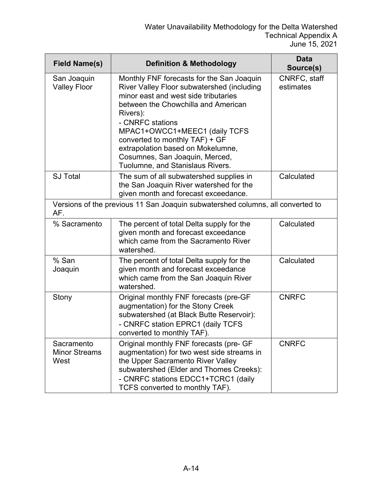| <b>Field Name(s)</b>                       | <b>Definition &amp; Methodology</b>                                                                                                                                                                                                                                                                                                                                                  | <b>Data</b><br>Source(s)  |
|--------------------------------------------|--------------------------------------------------------------------------------------------------------------------------------------------------------------------------------------------------------------------------------------------------------------------------------------------------------------------------------------------------------------------------------------|---------------------------|
| San Joaquin<br><b>Valley Floor</b>         | Monthly FNF forecasts for the San Joaquin<br>River Valley Floor subwatershed (including<br>minor east and west side tributaries<br>between the Chowchilla and American<br>Rivers):<br>- CNRFC stations<br>MPAC1+OWCC1+MEEC1 (daily TCFS<br>converted to monthly TAF) + GF<br>extrapolation based on Mokelumne,<br>Cosumnes, San Joaquin, Merced,<br>Tuolumne, and Stanislaus Rivers. | CNRFC, staff<br>estimates |
| <b>SJ Total</b>                            | The sum of all subwatershed supplies in<br>the San Joaquin River watershed for the<br>given month and forecast exceedance.                                                                                                                                                                                                                                                           | Calculated                |
| AF.                                        | Versions of the previous 11 San Joaquin subwatershed columns, all converted to                                                                                                                                                                                                                                                                                                       |                           |
| % Sacramento                               | The percent of total Delta supply for the<br>given month and forecast exceedance<br>which came from the Sacramento River<br>watershed.                                                                                                                                                                                                                                               | Calculated                |
| % San<br>Joaquin                           | The percent of total Delta supply for the<br>given month and forecast exceedance<br>which came from the San Joaquin River<br>watershed.                                                                                                                                                                                                                                              | Calculated                |
| Stony                                      | Original monthly FNF forecasts (pre-GF<br>augmentation) for the Stony Creek<br>subwatershed (at Black Butte Reservoir):<br>- CNRFC station EPRC1 (daily TCFS<br>converted to monthly TAF).                                                                                                                                                                                           | <b>CNRFC</b>              |
| Sacramento<br><b>Minor Streams</b><br>West | Original monthly FNF forecasts (pre- GF<br>augmentation) for two west side streams in<br>the Upper Sacramento River Valley<br>subwatershed (Elder and Thomes Creeks):<br>- CNRFC stations EDCC1+TCRC1 (daily<br>TCFS converted to monthly TAF).                                                                                                                                      | <b>CNRFC</b>              |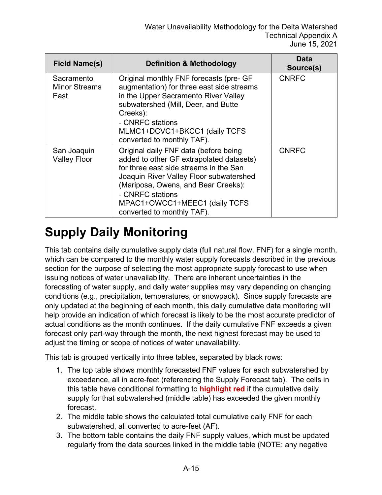| Field Name(s)                              | <b>Definition &amp; Methodology</b>                                                                                                                                                                                                                                                              | Data<br>Source(s) |
|--------------------------------------------|--------------------------------------------------------------------------------------------------------------------------------------------------------------------------------------------------------------------------------------------------------------------------------------------------|-------------------|
| Sacramento<br><b>Minor Streams</b><br>East | Original monthly FNF forecasts (pre- GF<br>augmentation) for three east side streams<br>in the Upper Sacramento River Valley<br>subwatershed (Mill, Deer, and Butte<br>Creeks):<br>- CNRFC stations<br>MLMC1+DCVC1+BKCC1 (daily TCFS<br>converted to monthly TAF).                               | <b>CNRFC</b>      |
| San Joaquin<br><b>Valley Floor</b>         | Original daily FNF data (before being<br>added to other GF extrapolated datasets)<br>for three east side streams in the San<br>Joaquin River Valley Floor subwatershed<br>(Mariposa, Owens, and Bear Creeks):<br>- CNRFC stations<br>MPAC1+OWCC1+MEEC1 (daily TCFS<br>converted to monthly TAF). | <b>CNRFC</b>      |

#### **Supply Daily Monitoring**

This tab contains daily cumulative supply data (full natural flow, FNF) for a single month, which can be compared to the monthly water supply forecasts described in the previous section for the purpose of selecting the most appropriate supply forecast to use when issuing notices of water unavailability. There are inherent uncertainties in the forecasting of water supply, and daily water supplies may vary depending on changing conditions (e.g., precipitation, temperatures, or snowpack). Since supply forecasts are only updated at the beginning of each month, this daily cumulative data monitoring will help provide an indication of which forecast is likely to be the most accurate predictor of actual conditions as the month continues. If the daily cumulative FNF exceeds a given forecast only part-way through the month, the next highest forecast may be used to adjust the timing or scope of notices of water unavailability.

This tab is grouped vertically into three tables, separated by black rows:

- 1. The top table shows monthly forecasted FNF values for each subwatershed by exceedance, all in acre-feet (referencing the Supply Forecast tab). The cells in this table have conditional formatting to **highlight red** if the cumulative daily supply for that subwatershed (middle table) has exceeded the given monthly forecast.
- 2. The middle table shows the calculated total cumulative daily FNF for each subwatershed, all converted to acre-feet (AF).
- 3. The bottom table contains the daily FNF supply values, which must be updated regularly from the data sources linked in the middle table (NOTE: any negative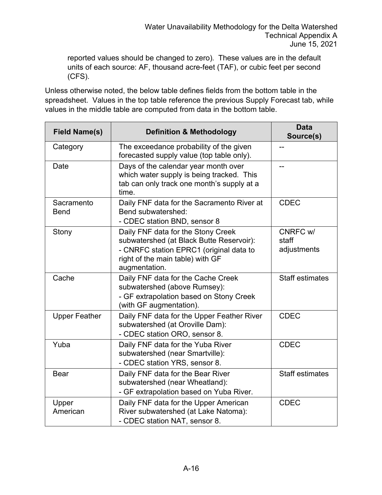reported values should be changed to zero). These values are in the default units of each source: AF, thousand acre-feet (TAF), or cubic feet per second (CFS).

Unless otherwise noted, the below table defines fields from the bottom table in the spreadsheet. Values in the top table reference the previous Supply Forecast tab, while values in the middle table are computed from data in the bottom table.

| <b>Field Name(s)</b>      | <b>Definition &amp; Methodology</b>                                                                                                                                            | <b>Data</b><br>Source(s)         |
|---------------------------|--------------------------------------------------------------------------------------------------------------------------------------------------------------------------------|----------------------------------|
| Category                  | The exceedance probability of the given<br>forecasted supply value (top table only).                                                                                           |                                  |
| Date                      | Days of the calendar year month over<br>which water supply is being tracked. This<br>tab can only track one month's supply at a<br>time.                                       |                                  |
| Sacramento<br><b>Bend</b> | Daily FNF data for the Sacramento River at<br>Bend subwatershed:<br>- CDEC station BND, sensor 8                                                                               | <b>CDEC</b>                      |
| Stony                     | Daily FNF data for the Stony Creek<br>subwatershed (at Black Butte Reservoir):<br>- CNRFC station EPRC1 (original data to<br>right of the main table) with GF<br>augmentation. | CNRFC w/<br>staff<br>adjustments |
| Cache                     | Daily FNF data for the Cache Creek<br>subwatershed (above Rumsey):<br>- GF extrapolation based on Stony Creek<br>(with GF augmentation).                                       | <b>Staff estimates</b>           |
| <b>Upper Feather</b>      | Daily FNF data for the Upper Feather River<br>subwatershed (at Oroville Dam):<br>- CDEC station ORO, sensor 8.                                                                 | <b>CDEC</b>                      |
| Yuba                      | Daily FNF data for the Yuba River<br>subwatershed (near Smartville):<br>- CDEC station YRS, sensor 8.                                                                          | <b>CDEC</b>                      |
| <b>Bear</b>               | Daily FNF data for the Bear River<br>subwatershed (near Wheatland):<br>- GF extrapolation based on Yuba River.                                                                 | <b>Staff estimates</b>           |
| Upper<br>American         | Daily FNF data for the Upper American<br>River subwatershed (at Lake Natoma):<br>- CDEC station NAT, sensor 8.                                                                 | <b>CDEC</b>                      |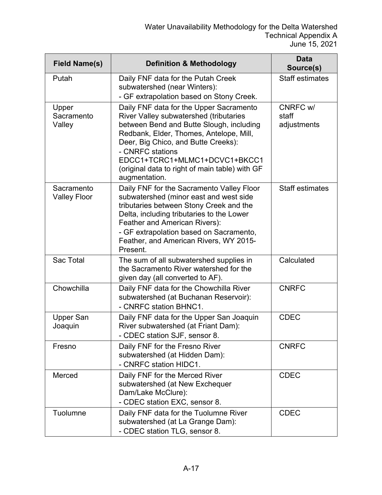| <b>Field Name(s)</b>              | <b>Definition &amp; Methodology</b>                                                                                                                                                                                                                                                                                                     | Data<br>Source(s)                |
|-----------------------------------|-----------------------------------------------------------------------------------------------------------------------------------------------------------------------------------------------------------------------------------------------------------------------------------------------------------------------------------------|----------------------------------|
| Putah                             | Daily FNF data for the Putah Creek<br>subwatershed (near Winters):<br>- GF extrapolation based on Stony Creek.                                                                                                                                                                                                                          | <b>Staff estimates</b>           |
| Upper<br>Sacramento<br>Valley     | Daily FNF data for the Upper Sacramento<br>River Valley subwatershed (tributaries<br>between Bend and Butte Slough, including<br>Redbank, Elder, Thomes, Antelope, Mill,<br>Deer, Big Chico, and Butte Creeks):<br>- CNRFC stations<br>EDCC1+TCRC1+MLMC1+DCVC1+BKCC1<br>(original data to right of main table) with GF<br>augmentation. | CNRFC w/<br>staff<br>adjustments |
| Sacramento<br><b>Valley Floor</b> | Daily FNF for the Sacramento Valley Floor<br>subwatershed (minor east and west side<br>tributaries between Stony Creek and the<br>Delta, including tributaries to the Lower<br>Feather and American Rivers):<br>- GF extrapolation based on Sacramento,<br>Feather, and American Rivers, WY 2015-<br>Present.                           | <b>Staff estimates</b>           |
| Sac Total                         | The sum of all subwatershed supplies in<br>the Sacramento River watershed for the<br>given day (all converted to AF).                                                                                                                                                                                                                   | Calculated                       |
| Chowchilla                        | Daily FNF data for the Chowchilla River<br>subwatershed (at Buchanan Reservoir):<br>- CNRFC station BHNC1.                                                                                                                                                                                                                              | <b>CNRFC</b>                     |
| <b>Upper San</b><br>Joaquin       | Daily FNF data for the Upper San Joaquin<br>River subwatershed (at Friant Dam):<br>- CDEC station SJF, sensor 8.                                                                                                                                                                                                                        | <b>CDEC</b>                      |
| Fresno                            | Daily FNF for the Fresno River<br>subwatershed (at Hidden Dam):<br>- CNRFC station HIDC1.                                                                                                                                                                                                                                               | <b>CNRFC</b>                     |
| Merced                            | Daily FNF for the Merced River<br>subwatershed (at New Exchequer<br>Dam/Lake McClure):<br>- CDEC station EXC, sensor 8.                                                                                                                                                                                                                 | <b>CDEC</b>                      |
| Tuolumne                          | Daily FNF data for the Tuolumne River<br>subwatershed (at La Grange Dam):<br>- CDEC station TLG, sensor 8.                                                                                                                                                                                                                              | <b>CDEC</b>                      |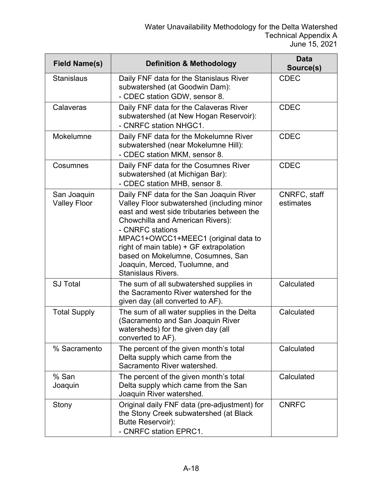| <b>Field Name(s)</b>               | <b>Definition &amp; Methodology</b>                                                                                                                                                                                                                                                                                                                                                | <b>Data</b><br>Source(s)  |
|------------------------------------|------------------------------------------------------------------------------------------------------------------------------------------------------------------------------------------------------------------------------------------------------------------------------------------------------------------------------------------------------------------------------------|---------------------------|
| <b>Stanislaus</b>                  | Daily FNF data for the Stanislaus River<br>subwatershed (at Goodwin Dam):<br>- CDEC station GDW, sensor 8.                                                                                                                                                                                                                                                                         | <b>CDEC</b>               |
| Calaveras                          | Daily FNF data for the Calaveras River<br>subwatershed (at New Hogan Reservoir):<br>- CNRFC station NHGC1.                                                                                                                                                                                                                                                                         | <b>CDEC</b>               |
| Mokelumne                          | Daily FNF data for the Mokelumne River<br>subwatershed (near Mokelumne Hill):<br>- CDEC station MKM, sensor 8.                                                                                                                                                                                                                                                                     | <b>CDEC</b>               |
| Cosumnes                           | Daily FNF data for the Cosumnes River<br>subwatershed (at Michigan Bar):<br>- CDEC station MHB, sensor 8.                                                                                                                                                                                                                                                                          | <b>CDEC</b>               |
| San Joaquin<br><b>Valley Floor</b> | Daily FNF data for the San Joaquin River<br>Valley Floor subwatershed (including minor<br>east and west side tributaries between the<br>Chowchilla and American Rivers):<br>- CNRFC stations<br>MPAC1+OWCC1+MEEC1 (original data to<br>right of main table) + GF extrapolation<br>based on Mokelumne, Cosumnes, San<br>Joaquin, Merced, Tuolumne, and<br><b>Stanislaus Rivers.</b> | CNRFC, staff<br>estimates |
| <b>SJ Total</b>                    | The sum of all subwatershed supplies in<br>the Sacramento River watershed for the<br>given day (all converted to AF).                                                                                                                                                                                                                                                              | Calculated                |
| <b>Total Supply</b>                | The sum of all water supplies in the Delta<br>(Sacramento and San Joaquin River<br>watersheds) for the given day (all<br>converted to AF).                                                                                                                                                                                                                                         | Calculated                |
| % Sacramento                       | The percent of the given month's total<br>Delta supply which came from the<br>Sacramento River watershed.                                                                                                                                                                                                                                                                          | Calculated                |
| % San<br>Joaquin                   | The percent of the given month's total<br>Delta supply which came from the San<br>Joaquin River watershed.                                                                                                                                                                                                                                                                         | Calculated                |
| Stony                              | Original daily FNF data (pre-adjustment) for<br>the Stony Creek subwatershed (at Black<br>Butte Reservoir):<br>- CNRFC station EPRC1.                                                                                                                                                                                                                                              | <b>CNRFC</b>              |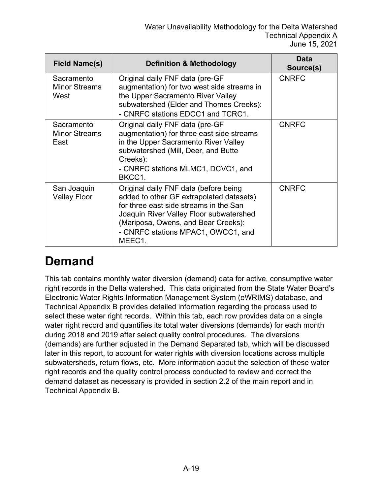| <b>Field Name(s)</b>                       | <b>Definition &amp; Methodology</b>                                                                                                                                                                                                                           | Data<br>Source(s) |
|--------------------------------------------|---------------------------------------------------------------------------------------------------------------------------------------------------------------------------------------------------------------------------------------------------------------|-------------------|
| Sacramento<br><b>Minor Streams</b><br>West | Original daily FNF data (pre-GF<br>augmentation) for two west side streams in<br>the Upper Sacramento River Valley<br>subwatershed (Elder and Thomes Creeks):<br>- CNRFC stations EDCC1 and TCRC1.                                                            | <b>CNRFC</b>      |
| Sacramento<br><b>Minor Streams</b><br>East | Original daily FNF data (pre-GF<br>augmentation) for three east side streams<br>in the Upper Sacramento River Valley<br>subwatershed (Mill, Deer, and Butte<br>Creeks):<br>- CNRFC stations MLMC1, DCVC1, and<br>BKCC1.                                       | <b>CNRFC</b>      |
| San Joaquin<br><b>Valley Floor</b>         | Original daily FNF data (before being<br>added to other GF extrapolated datasets)<br>for three east side streams in the San<br>Joaquin River Valley Floor subwatershed<br>(Mariposa, Owens, and Bear Creeks):<br>- CNRFC stations MPAC1, OWCC1, and<br>MEEC1. | <b>CNRFC</b>      |

### **Demand**

This tab contains monthly water diversion (demand) data for active, consumptive water right records in the Delta watershed. This data originated from the State Water Board's Electronic Water Rights Information Management System (eWRIMS) database, and Technical Appendix B provides detailed information regarding the process used to select these water right records. Within this tab, each row provides data on a single water right record and quantifies its total water diversions (demands) for each month during 2018 and 2019 after select quality control procedures. The diversions (demands) are further adjusted in the Demand Separated tab, which will be discussed later in this report, to account for water rights with diversion locations across multiple subwatersheds, return flows, etc. More information about the selection of these water right records and the quality control process conducted to review and correct the demand dataset as necessary is provided in section 2.2 of the main report and in Technical Appendix B.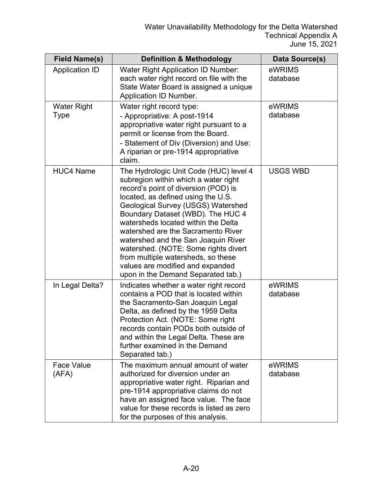| <b>Field Name(s)</b>       | <b>Definition &amp; Methodology</b>                                                                                                                                                                                                                                                                                                                                                                                                                                                                                 | Data Source(s)     |
|----------------------------|---------------------------------------------------------------------------------------------------------------------------------------------------------------------------------------------------------------------------------------------------------------------------------------------------------------------------------------------------------------------------------------------------------------------------------------------------------------------------------------------------------------------|--------------------|
| <b>Application ID</b>      | <b>Water Right Application ID Number:</b><br>each water right record on file with the<br>State Water Board is assigned a unique<br>Application ID Number.                                                                                                                                                                                                                                                                                                                                                           | eWRIMS<br>database |
| <b>Water Right</b><br>Type | Water right record type:<br>- Appropriative: A post-1914<br>appropriative water right pursuant to a<br>permit or license from the Board.<br>- Statement of Div (Diversion) and Use:<br>A riparian or pre-1914 appropriative<br>claim.                                                                                                                                                                                                                                                                               | eWRIMS<br>database |
| <b>HUC4 Name</b>           | The Hydrologic Unit Code (HUC) level 4<br>subregion within which a water right<br>record's point of diversion (POD) is<br>located, as defined using the U.S.<br>Geological Survey (USGS) Watershed<br>Boundary Dataset (WBD). The HUC 4<br>watersheds located within the Delta<br>watershed are the Sacramento River<br>watershed and the San Joaquin River<br>watershed. (NOTE: Some rights divert<br>from multiple watersheds, so these<br>values are modified and expanded<br>upon in the Demand Separated tab.) | <b>USGS WBD</b>    |
| In Legal Delta?            | Indicates whether a water right record<br>contains a POD that is located within<br>the Sacramento-San Joaquin Legal<br>Delta, as defined by the 1959 Delta<br>Protection Act. (NOTE: Some right<br>records contain PODs both outside of<br>and within the Legal Delta. These are<br>further examined in the Demand<br>Separated tab.)                                                                                                                                                                               | eWRIMS<br>database |
| <b>Face Value</b><br>(AFA) | The maximum annual amount of water<br>authorized for diversion under an<br>appropriative water right. Riparian and<br>pre-1914 appropriative claims do not<br>have an assigned face value. The face<br>value for these records is listed as zero<br>for the purposes of this analysis.                                                                                                                                                                                                                              | eWRIMS<br>database |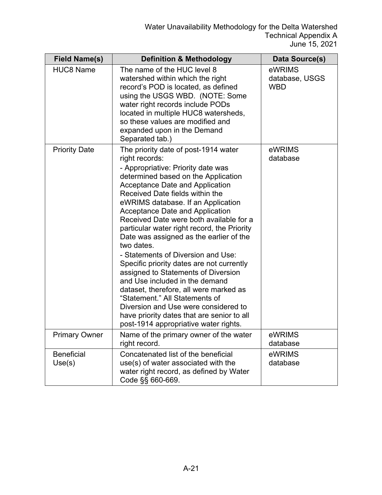| <b>Field Name(s)</b>        | <b>Definition &amp; Methodology</b>                                                                                                                                                                                                                                                                                                                                                                                                                                                                                                                                                                                                                                                                                                                                                                                 | <b>Data Source(s)</b>                  |
|-----------------------------|---------------------------------------------------------------------------------------------------------------------------------------------------------------------------------------------------------------------------------------------------------------------------------------------------------------------------------------------------------------------------------------------------------------------------------------------------------------------------------------------------------------------------------------------------------------------------------------------------------------------------------------------------------------------------------------------------------------------------------------------------------------------------------------------------------------------|----------------------------------------|
| <b>HUC8 Name</b>            | The name of the HUC level 8<br>watershed within which the right<br>record's POD is located, as defined<br>using the USGS WBD. (NOTE: Some<br>water right records include PODs<br>located in multiple HUC8 watersheds,<br>so these values are modified and<br>expanded upon in the Demand<br>Separated tab.)                                                                                                                                                                                                                                                                                                                                                                                                                                                                                                         | eWRIMS<br>database, USGS<br><b>WBD</b> |
| <b>Priority Date</b>        | The priority date of post-1914 water<br>right records:<br>- Appropriative: Priority date was<br>determined based on the Application<br><b>Acceptance Date and Application</b><br>Received Date fields within the<br>eWRIMS database. If an Application<br>Acceptance Date and Application<br>Received Date were both available for a<br>particular water right record, the Priority<br>Date was assigned as the earlier of the<br>two dates.<br>- Statements of Diversion and Use:<br>Specific priority dates are not currently<br>assigned to Statements of Diversion<br>and Use included in the demand<br>dataset, therefore, all were marked as<br>"Statement." All Statements of<br>Diversion and Use were considered to<br>have priority dates that are senior to all<br>post-1914 appropriative water rights. | eWRIMS<br>database                     |
| <b>Primary Owner</b>        | Name of the primary owner of the water<br>right record.                                                                                                                                                                                                                                                                                                                                                                                                                                                                                                                                                                                                                                                                                                                                                             | eWRIMS<br>database                     |
| <b>Beneficial</b><br>Use(s) | Concatenated list of the beneficial<br>use(s) of water associated with the<br>water right record, as defined by Water<br>Code §§ 660-669.                                                                                                                                                                                                                                                                                                                                                                                                                                                                                                                                                                                                                                                                           | eWRIMS<br>database                     |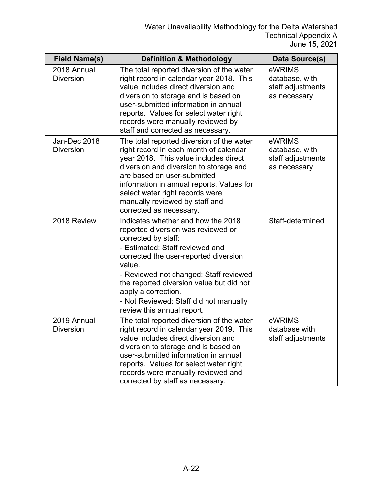| <b>Field Name(s)</b>             | <b>Definition &amp; Methodology</b>                                                                                                                                                                                                                                                                                                                                        | Data Source(s)                                                |
|----------------------------------|----------------------------------------------------------------------------------------------------------------------------------------------------------------------------------------------------------------------------------------------------------------------------------------------------------------------------------------------------------------------------|---------------------------------------------------------------|
| 2018 Annual<br><b>Diversion</b>  | The total reported diversion of the water<br>right record in calendar year 2018. This<br>value includes direct diversion and<br>diversion to storage and is based on<br>user-submitted information in annual<br>reports. Values for select water right<br>records were manually reviewed by<br>staff and corrected as necessary.                                           | eWRIMS<br>database, with<br>staff adjustments<br>as necessary |
| Jan-Dec 2018<br><b>Diversion</b> | The total reported diversion of the water<br>right record in each month of calendar<br>year 2018. This value includes direct<br>diversion and diversion to storage and<br>are based on user-submitted<br>information in annual reports. Values for<br>select water right records were<br>manually reviewed by staff and<br>corrected as necessary.                         | eWRIMS<br>database, with<br>staff adjustments<br>as necessary |
| 2018 Review                      | Indicates whether and how the 2018<br>reported diversion was reviewed or<br>corrected by staff:<br>- Estimated: Staff reviewed and<br>corrected the user-reported diversion<br>value.<br>- Reviewed not changed: Staff reviewed<br>the reported diversion value but did not<br>apply a correction.<br>- Not Reviewed: Staff did not manually<br>review this annual report. | Staff-determined                                              |
| 2019 Annual<br><b>Diversion</b>  | The total reported diversion of the water<br>right record in calendar year 2019. This<br>value includes direct diversion and<br>diversion to storage and is based on<br>user-submitted information in annual<br>reports. Values for select water right<br>records were manually reviewed and<br>corrected by staff as necessary.                                           | eWRIMS<br>database with<br>staff adjustments                  |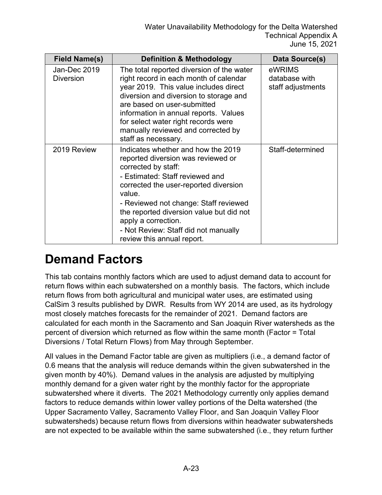| <b>Field Name(s)</b>             | <b>Definition &amp; Methodology</b>                                                                                                                                                                                                                                                                                                                                     | Data Source(s)                               |
|----------------------------------|-------------------------------------------------------------------------------------------------------------------------------------------------------------------------------------------------------------------------------------------------------------------------------------------------------------------------------------------------------------------------|----------------------------------------------|
| Jan-Dec 2019<br><b>Diversion</b> | The total reported diversion of the water<br>right record in each month of calendar<br>year 2019. This value includes direct<br>diversion and diversion to storage and<br>are based on user-submitted<br>information in annual reports. Values<br>for select water right records were<br>manually reviewed and corrected by<br>staff as necessary.                      | eWRIMS<br>database with<br>staff adjustments |
| 2019 Review                      | Indicates whether and how the 2019<br>reported diversion was reviewed or<br>corrected by staff:<br>- Estimated: Staff reviewed and<br>corrected the user-reported diversion<br>value.<br>- Reviewed not change: Staff reviewed<br>the reported diversion value but did not<br>apply a correction.<br>- Not Review: Staff did not manually<br>review this annual report. | Staff-determined                             |

#### **Demand Factors**

This tab contains monthly factors which are used to adjust demand data to account for return flows within each subwatershed on a monthly basis. The factors, which include return flows from both agricultural and municipal water uses, are estimated using CalSim 3 results published by DWR. Results from WY 2014 are used, as its hydrology most closely matches forecasts for the remainder of 2021. Demand factors are calculated for each month in the Sacramento and San Joaquin River watersheds as the percent of diversion which returned as flow within the same month (Factor = Total Diversions / Total Return Flows) from May through September.

All values in the Demand Factor table are given as multipliers (i.e., a demand factor of 0.6 means that the analysis will reduce demands within the given subwatershed in the given month by 40%). Demand values in the analysis are adjusted by multiplying monthly demand for a given water right by the monthly factor for the appropriate subwatershed where it diverts. The 2021 Methodology currently only applies demand factors to reduce demands within lower valley portions of the Delta watershed (the Upper Sacramento Valley, Sacramento Valley Floor, and San Joaquin Valley Floor subwatersheds) because return flows from diversions within headwater subwatersheds are not expected to be available within the same subwatershed (i.e., they return further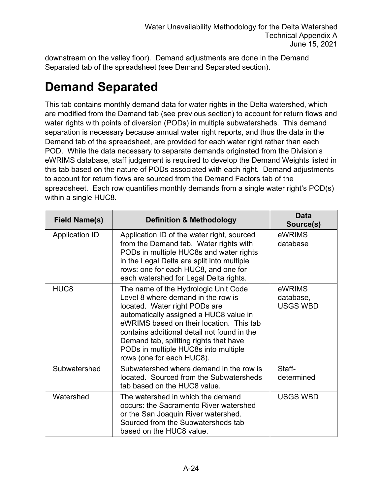downstream on the valley floor). Demand adjustments are done in the Demand Separated tab of the spreadsheet (see Demand Separated section).

### **Demand Separated**

This tab contains monthly demand data for water rights in the Delta watershed, which are modified from the Demand tab (see previous section) to account for return flows and water rights with points of diversion (PODs) in multiple subwatersheds. This demand separation is necessary because annual water right reports, and thus the data in the Demand tab of the spreadsheet, are provided for each water right rather than each POD. While the data necessary to separate demands originated from the Division's eWRIMS database, staff judgement is required to develop the Demand Weights listed in this tab based on the nature of PODs associated with each right. Demand adjustments to account for return flows are sourced from the Demand Factors tab of the spreadsheet. Each row quantifies monthly demands from a single water right's POD(s) within a single HUC8.

| <b>Field Name(s)</b>  | <b>Definition &amp; Methodology</b>                                                                                                                                                                                                                                                                                                                             | <b>Data</b><br>Source(s)               |
|-----------------------|-----------------------------------------------------------------------------------------------------------------------------------------------------------------------------------------------------------------------------------------------------------------------------------------------------------------------------------------------------------------|----------------------------------------|
| <b>Application ID</b> | Application ID of the water right, sourced<br>from the Demand tab. Water rights with<br>PODs in multiple HUC8s and water rights<br>in the Legal Delta are split into multiple<br>rows: one for each HUC8, and one for<br>each watershed for Legal Delta rights.                                                                                                 | eWRIMS<br>database                     |
| HUC <sub>8</sub>      | The name of the Hydrologic Unit Code<br>Level 8 where demand in the row is<br>located. Water right PODs are<br>automatically assigned a HUC8 value in<br>eWRIMS based on their location. This tab<br>contains additional detail not found in the<br>Demand tab, splitting rights that have<br>PODs in multiple HUC8s into multiple<br>rows (one for each HUC8). | eWRIMS<br>database,<br><b>USGS WBD</b> |
| Subwatershed          | Subwatershed where demand in the row is<br>located. Sourced from the Subwatersheds<br>tab based on the HUC8 value.                                                                                                                                                                                                                                              | Staff-<br>determined                   |
| Watershed             | The watershed in which the demand<br>occurs: the Sacramento River watershed<br>or the San Joaquin River watershed.<br>Sourced from the Subwatersheds tab<br>based on the HUC8 value.                                                                                                                                                                            | <b>USGS WBD</b>                        |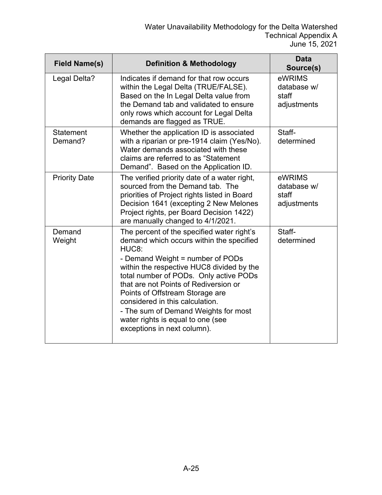| <b>Field Name(s)</b>        | <b>Definition &amp; Methodology</b>                                                                                                                                                                                                                                                                                                                                                                                                                                | <b>Data</b><br>Source(s)                      |
|-----------------------------|--------------------------------------------------------------------------------------------------------------------------------------------------------------------------------------------------------------------------------------------------------------------------------------------------------------------------------------------------------------------------------------------------------------------------------------------------------------------|-----------------------------------------------|
| Legal Delta?                | Indicates if demand for that row occurs<br>within the Legal Delta (TRUE/FALSE).<br>Based on the In Legal Delta value from<br>the Demand tab and validated to ensure<br>only rows which account for Legal Delta<br>demands are flagged as TRUE.                                                                                                                                                                                                                     | eWRIMS<br>database w/<br>staff<br>adjustments |
| <b>Statement</b><br>Demand? | Whether the application ID is associated<br>with a riparian or pre-1914 claim (Yes/No).<br>Water demands associated with these<br>claims are referred to as "Statement<br>Demand". Based on the Application ID.                                                                                                                                                                                                                                                    | Staff-<br>determined                          |
| <b>Priority Date</b>        | The verified priority date of a water right,<br>sourced from the Demand tab. The<br>priorities of Project rights listed in Board<br>Decision 1641 (excepting 2 New Melones<br>Project rights, per Board Decision 1422)<br>are manually changed to 4/1/2021.                                                                                                                                                                                                        | eWRIMS<br>database w/<br>staff<br>adjustments |
| Demand<br>Weight            | The percent of the specified water right's<br>demand which occurs within the specified<br>HUC <sub>8</sub> :<br>- Demand Weight = number of PODs<br>within the respective HUC8 divided by the<br>total number of PODs. Only active PODs<br>that are not Points of Rediversion or<br>Points of Offstream Storage are<br>considered in this calculation.<br>- The sum of Demand Weights for most<br>water rights is equal to one (see<br>exceptions in next column). | Staff-<br>determined                          |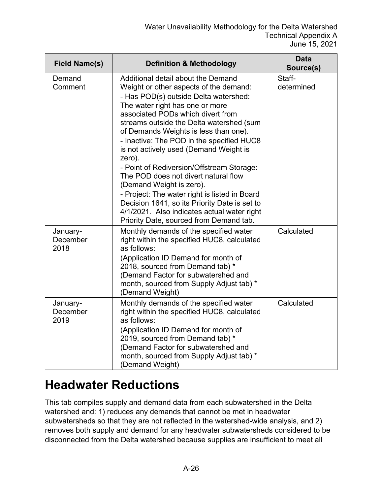| <b>Field Name(s)</b>         | <b>Definition &amp; Methodology</b>                                                                                                                                                                                                                                                                                                                                                                                                                                                                                                                                                                                                                                                              | <b>Data</b><br>Source(s) |
|------------------------------|--------------------------------------------------------------------------------------------------------------------------------------------------------------------------------------------------------------------------------------------------------------------------------------------------------------------------------------------------------------------------------------------------------------------------------------------------------------------------------------------------------------------------------------------------------------------------------------------------------------------------------------------------------------------------------------------------|--------------------------|
| Demand<br>Comment            | Additional detail about the Demand<br>Weight or other aspects of the demand:<br>- Has POD(s) outside Delta watershed:<br>The water right has one or more<br>associated PODs which divert from<br>streams outside the Delta watershed (sum<br>of Demands Weights is less than one).<br>- Inactive: The POD in the specified HUC8<br>is not actively used (Demand Weight is<br>zero).<br>- Point of Rediversion/Offstream Storage:<br>The POD does not divert natural flow<br>(Demand Weight is zero).<br>- Project: The water right is listed in Board<br>Decision 1641, so its Priority Date is set to<br>4/1/2021. Also indicates actual water right<br>Priority Date, sourced from Demand tab. | Staff-<br>determined     |
| January-<br>December<br>2018 | Monthly demands of the specified water<br>right within the specified HUC8, calculated<br>as follows:<br>(Application ID Demand for month of<br>2018, sourced from Demand tab) *<br>(Demand Factor for subwatershed and<br>month, sourced from Supply Adjust tab) *<br>(Demand Weight)                                                                                                                                                                                                                                                                                                                                                                                                            | Calculated               |
| January-<br>December<br>2019 | Monthly demands of the specified water<br>right within the specified HUC8, calculated<br>as follows:<br>(Application ID Demand for month of<br>2019, sourced from Demand tab) *<br>(Demand Factor for subwatershed and<br>month, sourced from Supply Adjust tab) *<br>(Demand Weight)                                                                                                                                                                                                                                                                                                                                                                                                            | Calculated               |

#### **Headwater Reductions**

This tab compiles supply and demand data from each subwatershed in the Delta watershed and: 1) reduces any demands that cannot be met in headwater subwatersheds so that they are not reflected in the watershed-wide analysis, and 2) removes both supply and demand for any headwater subwatersheds considered to be disconnected from the Delta watershed because supplies are insufficient to meet all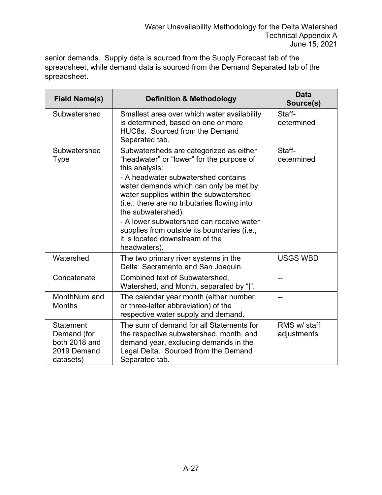senior demands. Supply data is sourced from the Supply Forecast tab of the spreadsheet, while demand data is sourced from the Demand Separated tab of the spreadsheet.

| <b>Field Name(s)</b>                                                         | <b>Definition &amp; Methodology</b>                                                                                                                                                                                                                                                                                                                                                                                                                   | <b>Data</b><br>Source(s)    |
|------------------------------------------------------------------------------|-------------------------------------------------------------------------------------------------------------------------------------------------------------------------------------------------------------------------------------------------------------------------------------------------------------------------------------------------------------------------------------------------------------------------------------------------------|-----------------------------|
| Subwatershed                                                                 | Smallest area over which water availability<br>is determined, based on one or more<br>HUC8s. Sourced from the Demand<br>Separated tab.                                                                                                                                                                                                                                                                                                                | Staff-<br>determined        |
| Subwatershed<br><b>Type</b>                                                  | Subwatersheds are categorized as either<br>"headwater" or "lower" for the purpose of<br>this analysis:<br>- A headwater subwatershed contains<br>water demands which can only be met by<br>water supplies within the subwatershed<br>(i.e., there are no tributaries flowing into<br>the subwatershed).<br>- A lower subwatershed can receive water<br>supplies from outside its boundaries (i.e.,<br>it is located downstream of the<br>headwaters). | Staff-<br>determined        |
| Watershed                                                                    | The two primary river systems in the<br>Delta: Sacramento and San Joaquin.                                                                                                                                                                                                                                                                                                                                                                            | <b>USGS WBD</b>             |
| Concatenate                                                                  | Combined text of Subwatershed,<br>Watershed, and Month, separated by " ".                                                                                                                                                                                                                                                                                                                                                                             |                             |
| MonthNum and<br><b>Months</b>                                                | The calendar year month (either number<br>or three-letter abbreviation) of the<br>respective water supply and demand.                                                                                                                                                                                                                                                                                                                                 |                             |
| <b>Statement</b><br>Demand (for<br>both 2018 and<br>2019 Demand<br>datasets) | The sum of demand for all Statements for<br>the respective subwatershed, month, and<br>demand year, excluding demands in the<br>Legal Delta. Sourced from the Demand<br>Separated tab.                                                                                                                                                                                                                                                                | RMS w/ staff<br>adjustments |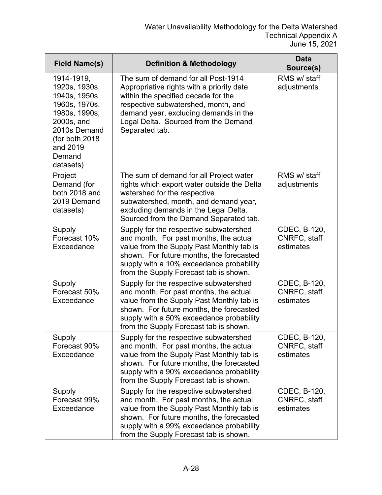| <b>Field Name(s)</b>                                                                                                                                              | <b>Definition &amp; Methodology</b>                                                                                                                                                                                                                               | <b>Data</b><br>Source(s)                  |
|-------------------------------------------------------------------------------------------------------------------------------------------------------------------|-------------------------------------------------------------------------------------------------------------------------------------------------------------------------------------------------------------------------------------------------------------------|-------------------------------------------|
| 1914-1919,<br>1920s, 1930s,<br>1940s, 1950s,<br>1960s, 1970s,<br>1980s, 1990s,<br>2000s, and<br>2010s Demand<br>(for both 2018<br>and 2019<br>Demand<br>datasets) | The sum of demand for all Post-1914<br>Appropriative rights with a priority date<br>within the specified decade for the<br>respective subwatershed, month, and<br>demand year, excluding demands in the<br>Legal Delta. Sourced from the Demand<br>Separated tab. | RMS w/ staff<br>adjustments               |
| Project<br>Demand (for<br>both 2018 and<br>2019 Demand<br>datasets)                                                                                               | The sum of demand for all Project water<br>rights which export water outside the Delta<br>watershed for the respective<br>subwatershed, month, and demand year,<br>excluding demands in the Legal Delta.<br>Sourced from the Demand Separated tab.                | RMS w/ staff<br>adjustments               |
| Supply<br>Forecast 10%<br>Exceedance                                                                                                                              | Supply for the respective subwatershed<br>and month. For past months, the actual<br>value from the Supply Past Monthly tab is<br>shown. For future months, the forecasted<br>supply with a 10% exceedance probability<br>from the Supply Forecast tab is shown.   | CDEC, B-120,<br>CNRFC, staff<br>estimates |
| Supply<br>Forecast 50%<br>Exceedance                                                                                                                              | Supply for the respective subwatershed<br>and month. For past months, the actual<br>value from the Supply Past Monthly tab is<br>shown. For future months, the forecasted<br>supply with a 50% exceedance probability<br>from the Supply Forecast tab is shown.   | CDEC, B-120,<br>CNRFC, staff<br>estimates |
| Supply<br>Forecast 90%<br>Exceedance                                                                                                                              | Supply for the respective subwatershed<br>and month. For past months, the actual<br>value from the Supply Past Monthly tab is<br>shown. For future months, the forecasted<br>supply with a 90% exceedance probability<br>from the Supply Forecast tab is shown.   | CDEC, B-120,<br>CNRFC, staff<br>estimates |
| Supply<br>Forecast 99%<br>Exceedance                                                                                                                              | Supply for the respective subwatershed<br>and month. For past months, the actual<br>value from the Supply Past Monthly tab is<br>shown. For future months, the forecasted<br>supply with a 99% exceedance probability<br>from the Supply Forecast tab is shown.   | CDEC, B-120,<br>CNRFC, staff<br>estimates |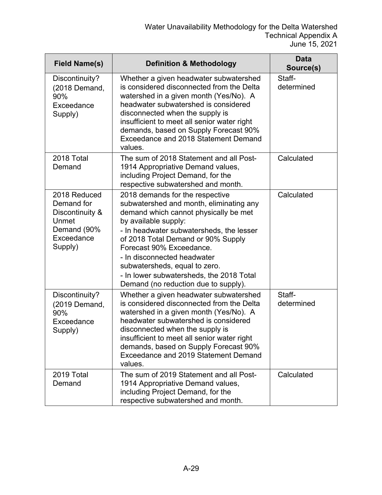| <b>Field Name(s)</b>                                                                           | <b>Definition &amp; Methodology</b>                                                                                                                                                                                                                                                                                                                                                                           | <b>Data</b><br>Source(s) |
|------------------------------------------------------------------------------------------------|---------------------------------------------------------------------------------------------------------------------------------------------------------------------------------------------------------------------------------------------------------------------------------------------------------------------------------------------------------------------------------------------------------------|--------------------------|
| Discontinuity?<br>(2018 Demand,<br>90%<br>Exceedance<br>Supply)                                | Whether a given headwater subwatershed<br>is considered disconnected from the Delta<br>watershed in a given month (Yes/No). A<br>headwater subwatershed is considered<br>disconnected when the supply is<br>insufficient to meet all senior water right<br>demands, based on Supply Forecast 90%<br><b>Exceedance and 2018 Statement Demand</b><br>values.                                                    | Staff-<br>determined     |
| 2018 Total<br>Demand                                                                           | The sum of 2018 Statement and all Post-<br>1914 Appropriative Demand values,<br>including Project Demand, for the<br>respective subwatershed and month.                                                                                                                                                                                                                                                       | Calculated               |
| 2018 Reduced<br>Demand for<br>Discontinuity &<br>Unmet<br>Demand (90%<br>Exceedance<br>Supply) | 2018 demands for the respective<br>subwatershed and month, eliminating any<br>demand which cannot physically be met<br>by available supply:<br>- In headwater subwatersheds, the lesser<br>of 2018 Total Demand or 90% Supply<br>Forecast 90% Exceedance.<br>- In disconnected headwater<br>subwatersheds, equal to zero.<br>- In lower subwatersheds, the 2018 Total<br>Demand (no reduction due to supply). | Calculated               |
| Discontinuity?<br>(2019 Demand,<br>90%<br>Exceedance<br>Supply)                                | Whether a given headwater subwatershed<br>is considered disconnected from the Delta<br>watershed in a given month (Yes/No). A<br>headwater subwatershed is considered<br>disconnected when the supply is<br>insufficient to meet all senior water right<br>demands, based on Supply Forecast 90%<br>Exceedance and 2019 Statement Demand<br>values.                                                           | Staff-<br>determined     |
| 2019 Total<br>Demand                                                                           | The sum of 2019 Statement and all Post-<br>1914 Appropriative Demand values,<br>including Project Demand, for the<br>respective subwatershed and month.                                                                                                                                                                                                                                                       | Calculated               |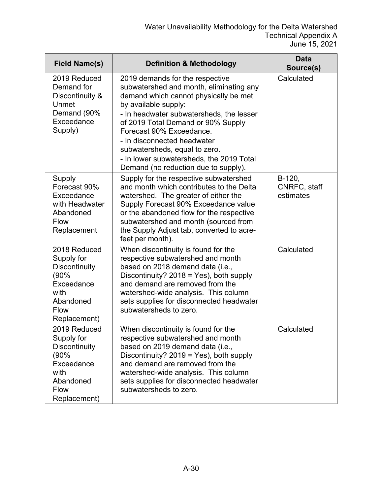| <b>Field Name(s)</b>                                                                                                         | <b>Definition &amp; Methodology</b>                                                                                                                                                                                                                                                                                                                                                                           | <b>Data</b><br>Source(s)            |
|------------------------------------------------------------------------------------------------------------------------------|---------------------------------------------------------------------------------------------------------------------------------------------------------------------------------------------------------------------------------------------------------------------------------------------------------------------------------------------------------------------------------------------------------------|-------------------------------------|
| 2019 Reduced<br>Demand for<br>Discontinuity &<br>Unmet<br>Demand (90%<br>Exceedance<br>Supply)                               | 2019 demands for the respective<br>subwatershed and month, eliminating any<br>demand which cannot physically be met<br>by available supply:<br>- In headwater subwatersheds, the lesser<br>of 2019 Total Demand or 90% Supply<br>Forecast 90% Exceedance.<br>- In disconnected headwater<br>subwatersheds, equal to zero.<br>- In lower subwatersheds, the 2019 Total<br>Demand (no reduction due to supply). | Calculated                          |
| Supply<br>Forecast 90%<br>Exceedance<br>with Headwater<br>Abandoned<br><b>Flow</b><br>Replacement                            | Supply for the respective subwatershed<br>and month which contributes to the Delta<br>watershed. The greater of either the<br>Supply Forecast 90% Exceedance value<br>or the abandoned flow for the respective<br>subwatershed and month (sourced from<br>the Supply Adjust tab, converted to acre-<br>feet per month).                                                                                       | B-120,<br>CNRFC, staff<br>estimates |
| 2018 Reduced<br>Supply for<br><b>Discontinuity</b><br>(90%<br>Exceedance<br>with<br>Abandoned<br><b>Flow</b><br>Replacement) | When discontinuity is found for the<br>respective subwatershed and month<br>based on 2018 demand data (i.e.,<br>Discontinuity? $2018 = Yes$ ), both supply<br>and demand are removed from the<br>watershed-wide analysis. This column<br>sets supplies for disconnected headwater<br>subwatersheds to zero.                                                                                                   | Calculated                          |
| 2019 Reduced<br>Supply for<br><b>Discontinuity</b><br>(90%<br>Exceedance<br>with<br>Abandoned<br><b>Flow</b><br>Replacement) | When discontinuity is found for the<br>respective subwatershed and month<br>based on 2019 demand data (i.e.,<br>Discontinuity? $2019 = Yes$ ), both supply<br>and demand are removed from the<br>watershed-wide analysis. This column<br>sets supplies for disconnected headwater<br>subwatersheds to zero.                                                                                                   | Calculated                          |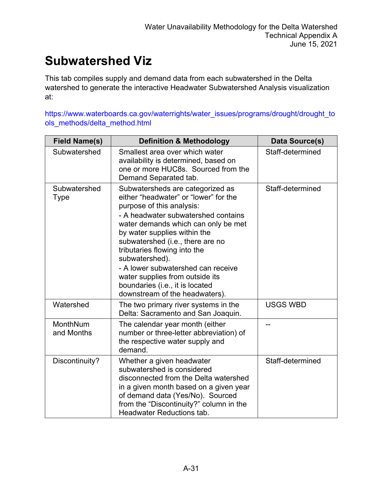### **Subwatershed Viz**

This tab compiles supply and demand data from each subwatershed in the Delta watershed to generate the interactive Headwater Subwatershed Analysis visualization at:

[https://www.waterboards.ca.gov/waterrights/water\\_issues/programs/drought/drought\\_to](https://www.waterboards.ca.gov/waterrights/water_issues/programs/drought/drought_tools_methods/delta_method.html) [ols\\_methods/delta\\_method.html](https://www.waterboards.ca.gov/waterrights/water_issues/programs/drought/drought_tools_methods/delta_method.html)

| <b>Field Name(s)</b>   | <b>Definition &amp; Methodology</b>                                                                                                                                                                                                                                                                                                                                                                                                                      | Data Source(s)   |
|------------------------|----------------------------------------------------------------------------------------------------------------------------------------------------------------------------------------------------------------------------------------------------------------------------------------------------------------------------------------------------------------------------------------------------------------------------------------------------------|------------------|
| Subwatershed           | Smallest area over which water<br>availability is determined, based on<br>one or more HUC8s. Sourced from the<br>Demand Separated tab.                                                                                                                                                                                                                                                                                                                   | Staff-determined |
| Subwatershed<br>Type   | Subwatersheds are categorized as<br>either "headwater" or "lower" for the<br>purpose of this analysis:<br>- A headwater subwatershed contains<br>water demands which can only be met<br>by water supplies within the<br>subwatershed (i.e., there are no<br>tributaries flowing into the<br>subwatershed).<br>- A lower subwatershed can receive<br>water supplies from outside its<br>boundaries (i.e., it is located<br>downstream of the headwaters). | Staff-determined |
| Watershed              | The two primary river systems in the<br>Delta: Sacramento and San Joaquin.                                                                                                                                                                                                                                                                                                                                                                               | <b>USGS WBD</b>  |
| MonthNum<br>and Months | The calendar year month (either<br>number or three-letter abbreviation) of<br>the respective water supply and<br>demand.                                                                                                                                                                                                                                                                                                                                 |                  |
| Discontinuity?         | Whether a given headwater<br>subwatershed is considered<br>disconnected from the Delta watershed<br>in a given month based on a given year<br>of demand data (Yes/No). Sourced<br>from the "Discontinuity?" column in the<br><b>Headwater Reductions tab.</b>                                                                                                                                                                                            | Staff-determined |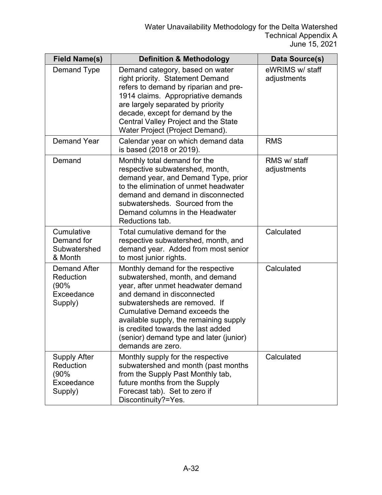| <b>Field Name(s)</b>                                              | <b>Definition &amp; Methodology</b>                                                                                                                                                                                                                                                                                                                               | Data Source(s)                 |
|-------------------------------------------------------------------|-------------------------------------------------------------------------------------------------------------------------------------------------------------------------------------------------------------------------------------------------------------------------------------------------------------------------------------------------------------------|--------------------------------|
| Demand Type                                                       | Demand category, based on water<br>right priority. Statement Demand<br>refers to demand by riparian and pre-<br>1914 claims. Appropriative demands<br>are largely separated by priority<br>decade, except for demand by the<br>Central Valley Project and the State<br>Water Project (Project Demand).                                                            | eWRIMS w/ staff<br>adjustments |
| <b>Demand Year</b>                                                | Calendar year on which demand data<br>is based (2018 or 2019).                                                                                                                                                                                                                                                                                                    | <b>RMS</b>                     |
| Demand                                                            | Monthly total demand for the<br>respective subwatershed, month,<br>demand year, and Demand Type, prior<br>to the elimination of unmet headwater<br>demand and demand in disconnected<br>subwatersheds. Sourced from the<br>Demand columns in the Headwater<br>Reductions tab.                                                                                     | RMS w/ staff<br>adjustments    |
| Cumulative<br>Demand for<br>Subwatershed<br>& Month               | Total cumulative demand for the<br>respective subwatershed, month, and<br>demand year. Added from most senior<br>to most junior rights.                                                                                                                                                                                                                           | Calculated                     |
| <b>Demand After</b><br>Reduction<br>(90%<br>Exceedance<br>Supply) | Monthly demand for the respective<br>subwatershed, month, and demand<br>year, after unmet headwater demand<br>and demand in disconnected<br>subwatersheds are removed. If<br><b>Cumulative Demand exceeds the</b><br>available supply, the remaining supply<br>is credited towards the last added<br>(senior) demand type and later (junior)<br>demands are zero. | Calculated                     |
| <b>Supply After</b><br>Reduction<br>(90%<br>Exceedance<br>Supply) | Monthly supply for the respective<br>subwatershed and month (past months<br>from the Supply Past Monthly tab,<br>future months from the Supply<br>Forecast tab). Set to zero if<br>Discontinuity?=Yes.                                                                                                                                                            | Calculated                     |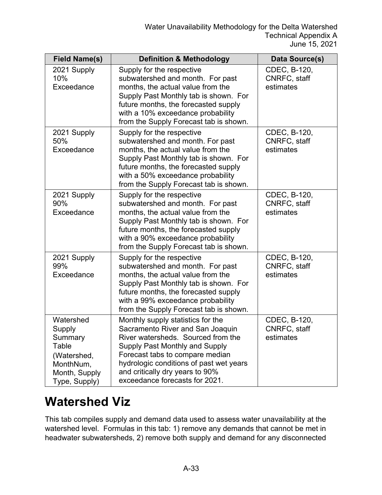| <b>Field Name(s)</b>                                                                                  | <b>Definition &amp; Methodology</b>                                                                                                                                                                                                                                                                     | Data Source(s)                            |
|-------------------------------------------------------------------------------------------------------|---------------------------------------------------------------------------------------------------------------------------------------------------------------------------------------------------------------------------------------------------------------------------------------------------------|-------------------------------------------|
| 2021 Supply<br>10%<br>Exceedance                                                                      | Supply for the respective<br>subwatershed and month. For past<br>months, the actual value from the<br>Supply Past Monthly tab is shown. For<br>future months, the forecasted supply<br>with a 10% exceedance probability<br>from the Supply Forecast tab is shown.                                      | CDEC, B-120,<br>CNRFC, staff<br>estimates |
| 2021 Supply<br>50%<br>Exceedance                                                                      | Supply for the respective<br>subwatershed and month. For past<br>months, the actual value from the<br>Supply Past Monthly tab is shown. For<br>future months, the forecasted supply<br>with a 50% exceedance probability<br>from the Supply Forecast tab is shown.                                      | CDEC, B-120,<br>CNRFC, staff<br>estimates |
| 2021 Supply<br>90%<br>Exceedance                                                                      | Supply for the respective<br>subwatershed and month. For past<br>months, the actual value from the<br>Supply Past Monthly tab is shown. For<br>future months, the forecasted supply<br>with a 90% exceedance probability<br>from the Supply Forecast tab is shown.                                      | CDEC, B-120,<br>CNRFC, staff<br>estimates |
| 2021 Supply<br>99%<br>Exceedance                                                                      | Supply for the respective<br>subwatershed and month. For past<br>months, the actual value from the<br>Supply Past Monthly tab is shown. For<br>future months, the forecasted supply<br>with a 99% exceedance probability<br>from the Supply Forecast tab is shown.                                      | CDEC, B-120,<br>CNRFC, staff<br>estimates |
| Watershed<br>Supply<br>Summary<br>Table<br>(Watershed,<br>MonthNum,<br>Month, Supply<br>Type, Supply) | Monthly supply statistics for the<br>Sacramento River and San Joaquin<br>River watersheds. Sourced from the<br><b>Supply Past Monthly and Supply</b><br>Forecast tabs to compare median<br>hydrologic conditions of past wet years<br>and critically dry years to 90%<br>exceedance forecasts for 2021. | CDEC, B-120,<br>CNRFC, staff<br>estimates |

### **Watershed Viz**

This tab compiles supply and demand data used to assess water unavailability at the watershed level. Formulas in this tab: 1) remove any demands that cannot be met in headwater subwatersheds, 2) remove both supply and demand for any disconnected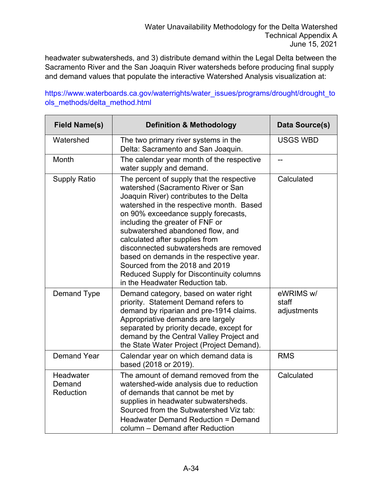headwater subwatersheds, and 3) distribute demand within the Legal Delta between the Sacramento River and the San Joaquin River watersheds before producing final supply and demand values that populate the interactive Watershed Analysis visualization at:

#### [https://www.waterboards.ca.gov/waterrights/water\\_issues/programs/drought/drought\\_to](https://www.waterboards.ca.gov/waterrights/water_issues/programs/drought/drought_tools_methods/delta_method.html) [ols\\_methods/delta\\_method.html](https://www.waterboards.ca.gov/waterrights/water_issues/programs/drought/drought_tools_methods/delta_method.html)

| <b>Field Name(s)</b>             | <b>Definition &amp; Methodology</b>                                                                                                                                                                                                                                                                                                                                                                                                                                                                                           | Data Source(s)                    |
|----------------------------------|-------------------------------------------------------------------------------------------------------------------------------------------------------------------------------------------------------------------------------------------------------------------------------------------------------------------------------------------------------------------------------------------------------------------------------------------------------------------------------------------------------------------------------|-----------------------------------|
| Watershed                        | The two primary river systems in the<br>Delta: Sacramento and San Joaquin.                                                                                                                                                                                                                                                                                                                                                                                                                                                    | <b>USGS WBD</b>                   |
| Month                            | The calendar year month of the respective<br>water supply and demand.                                                                                                                                                                                                                                                                                                                                                                                                                                                         | --                                |
| <b>Supply Ratio</b>              | The percent of supply that the respective<br>watershed (Sacramento River or San<br>Joaquin River) contributes to the Delta<br>watershed in the respective month. Based<br>on 90% exceedance supply forecasts,<br>including the greater of FNF or<br>subwatershed abandoned flow, and<br>calculated after supplies from<br>disconnected subwatersheds are removed<br>based on demands in the respective year.<br>Sourced from the 2018 and 2019<br>Reduced Supply for Discontinuity columns<br>in the Headwater Reduction tab. | Calculated                        |
| <b>Demand Type</b>               | Demand category, based on water right<br>priority. Statement Demand refers to<br>demand by riparian and pre-1914 claims.<br>Appropriative demands are largely<br>separated by priority decade, except for<br>demand by the Central Valley Project and<br>the State Water Project (Project Demand).                                                                                                                                                                                                                            | eWRIMS w/<br>staff<br>adjustments |
| <b>Demand Year</b>               | Calendar year on which demand data is<br>based (2018 or 2019).                                                                                                                                                                                                                                                                                                                                                                                                                                                                | <b>RMS</b>                        |
| Headwater<br>Demand<br>Reduction | The amount of demand removed from the<br>watershed-wide analysis due to reduction<br>of demands that cannot be met by<br>supplies in headwater subwatersheds.<br>Sourced from the Subwatershed Viz tab:<br>Headwater Demand Reduction = Demand<br>column - Demand after Reduction                                                                                                                                                                                                                                             | Calculated                        |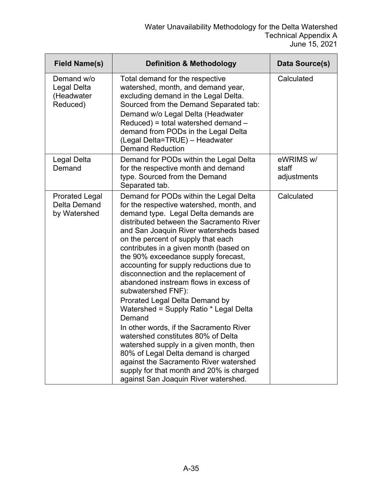| <b>Field Name(s)</b>                                  | <b>Definition &amp; Methodology</b>                                                                                                                                                                                                                                                                                                                                                                                                                                                                                                                                                                                                                                                                                                                                                                                                                                               | Data Source(s)                    |
|-------------------------------------------------------|-----------------------------------------------------------------------------------------------------------------------------------------------------------------------------------------------------------------------------------------------------------------------------------------------------------------------------------------------------------------------------------------------------------------------------------------------------------------------------------------------------------------------------------------------------------------------------------------------------------------------------------------------------------------------------------------------------------------------------------------------------------------------------------------------------------------------------------------------------------------------------------|-----------------------------------|
| Demand w/o<br>Legal Delta<br>(Headwater<br>Reduced)   | Total demand for the respective<br>watershed, month, and demand year,<br>excluding demand in the Legal Delta.<br>Sourced from the Demand Separated tab:<br>Demand w/o Legal Delta (Headwater<br>$Reduced$ ) = total watershed demand $-$<br>demand from PODs in the Legal Delta<br>(Legal Delta=TRUE) - Headwater<br><b>Demand Reduction</b>                                                                                                                                                                                                                                                                                                                                                                                                                                                                                                                                      | Calculated                        |
| Legal Delta<br>Demand                                 | Demand for PODs within the Legal Delta<br>for the respective month and demand<br>type. Sourced from the Demand<br>Separated tab.                                                                                                                                                                                                                                                                                                                                                                                                                                                                                                                                                                                                                                                                                                                                                  | eWRIMS w/<br>staff<br>adjustments |
| <b>Prorated Legal</b><br>Delta Demand<br>by Watershed | Demand for PODs within the Legal Delta<br>for the respective watershed, month, and<br>demand type. Legal Delta demands are<br>distributed between the Sacramento River<br>and San Joaquin River watersheds based<br>on the percent of supply that each<br>contributes in a given month (based on<br>the 90% exceedance supply forecast,<br>accounting for supply reductions due to<br>disconnection and the replacement of<br>abandoned instream flows in excess of<br>subwatershed FNF):<br>Prorated Legal Delta Demand by<br>Watershed = Supply Ratio * Legal Delta<br>Demand<br>In other words, if the Sacramento River<br>watershed constitutes 80% of Delta<br>watershed supply in a given month, then<br>80% of Legal Delta demand is charged<br>against the Sacramento River watershed<br>supply for that month and 20% is charged<br>against San Joaquin River watershed. | Calculated                        |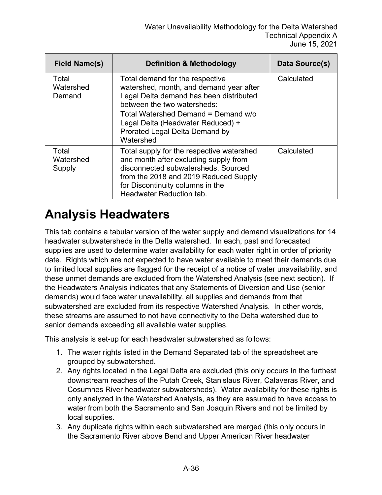| <b>Field Name(s)</b>         | <b>Definition &amp; Methodology</b>                                                                                                                                                                                                                                             | Data Source(s) |
|------------------------------|---------------------------------------------------------------------------------------------------------------------------------------------------------------------------------------------------------------------------------------------------------------------------------|----------------|
| Total<br>Watershed<br>Demand | Total demand for the respective<br>watershed, month, and demand year after<br>Legal Delta demand has been distributed<br>between the two watersheds:<br>Total Watershed Demand = Demand w/o<br>Legal Delta (Headwater Reduced) +<br>Prorated Legal Delta Demand by<br>Watershed | Calculated     |
| Total<br>Watershed<br>Supply | Total supply for the respective watershed<br>and month after excluding supply from<br>disconnected subwatersheds. Sourced<br>from the 2018 and 2019 Reduced Supply<br>for Discontinuity columns in the<br><b>Headwater Reduction tab.</b>                                       | Calculated     |

#### **Analysis Headwaters**

This tab contains a tabular version of the water supply and demand visualizations for 14 headwater subwatersheds in the Delta watershed. In each, past and forecasted supplies are used to determine water availability for each water right in order of priority date. Rights which are not expected to have water available to meet their demands due to limited local supplies are flagged for the receipt of a notice of water unavailability, and these unmet demands are excluded from the Watershed Analysis (see next section). If the Headwaters Analysis indicates that any Statements of Diversion and Use (senior demands) would face water unavailability, all supplies and demands from that subwatershed are excluded from its respective Watershed Analysis. In other words, these streams are assumed to not have connectivity to the Delta watershed due to senior demands exceeding all available water supplies.

This analysis is set-up for each headwater subwatershed as follows:

- 1. The water rights listed in the Demand Separated tab of the spreadsheet are grouped by subwatershed.
- 2. Any rights located in the Legal Delta are excluded (this only occurs in the furthest downstream reaches of the Putah Creek, Stanislaus River, Calaveras River, and Cosumnes River headwater subwatersheds). Water availability for these rights is only analyzed in the Watershed Analysis, as they are assumed to have access to water from both the Sacramento and San Joaquin Rivers and not be limited by local supplies.
- 3. Any duplicate rights within each subwatershed are merged (this only occurs in the Sacramento River above Bend and Upper American River headwater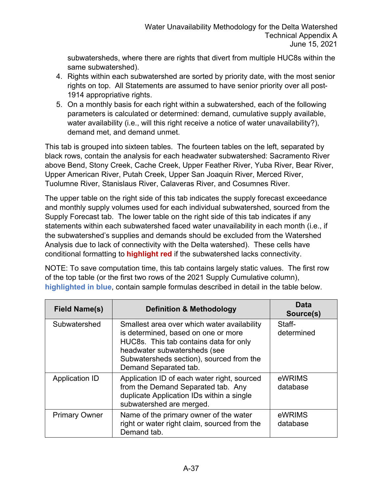subwatersheds, where there are rights that divert from multiple HUC8s within the same subwatershed).

- 4. Rights within each subwatershed are sorted by priority date, with the most senior rights on top. All Statements are assumed to have senior priority over all post-1914 appropriative rights.
- 5. On a monthly basis for each right within a subwatershed, each of the following parameters is calculated or determined: demand, cumulative supply available, water availability (i.e., will this right receive a notice of water unavailability?), demand met, and demand unmet.

This tab is grouped into sixteen tables. The fourteen tables on the left, separated by black rows, contain the analysis for each headwater subwatershed: Sacramento River above Bend, Stony Creek, Cache Creek, Upper Feather River, Yuba River, Bear River, Upper American River, Putah Creek, Upper San Joaquin River, Merced River, Tuolumne River, Stanislaus River, Calaveras River, and Cosumnes River.

The upper table on the right side of this tab indicates the supply forecast exceedance and monthly supply volumes used for each individual subwatershed, sourced from the Supply Forecast tab. The lower table on the right side of this tab indicates if any statements within each subwatershed faced water unavailability in each month (i.e., if the subwatershed's supplies and demands should be excluded from the Watershed Analysis due to lack of connectivity with the Delta watershed). These cells have conditional formatting to **highlight red** if the subwatershed lacks connectivity.

NOTE: To save computation time, this tab contains largely static values. The first row of the top table (or the first two rows of the 2021 Supply Cumulative column), **highlighted in blue**, contain sample formulas described in detail in the table below.

| Field Name(s)         | <b>Definition &amp; Methodology</b>                                                                                                                                                                                               | Data<br>Source(s)    |
|-----------------------|-----------------------------------------------------------------------------------------------------------------------------------------------------------------------------------------------------------------------------------|----------------------|
| Subwatershed          | Smallest area over which water availability<br>is determined, based on one or more<br>HUC8s. This tab contains data for only<br>headwater subwatersheds (see<br>Subwatersheds section), sourced from the<br>Demand Separated tab. | Staff-<br>determined |
| <b>Application ID</b> | Application ID of each water right, sourced<br>from the Demand Separated tab. Any<br>duplicate Application IDs within a single<br>subwatershed are merged.                                                                        | eWRIMS<br>database   |
| <b>Primary Owner</b>  | Name of the primary owner of the water<br>right or water right claim, sourced from the<br>Demand tab.                                                                                                                             | eWRIMS<br>database   |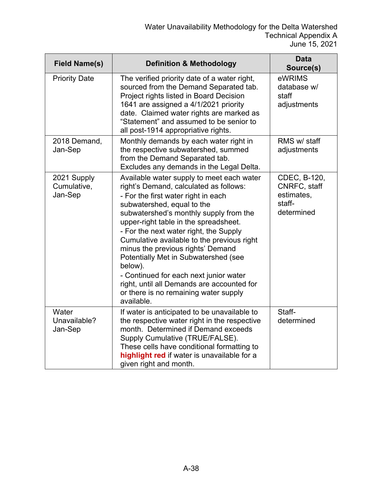| <b>Field Name(s)</b>                  | <b>Definition &amp; Methodology</b>                                                                                                                                                                                                                                                                                                                                                                                                                                                                                                                                        | <b>Data</b><br>Source(s)                                           |
|---------------------------------------|----------------------------------------------------------------------------------------------------------------------------------------------------------------------------------------------------------------------------------------------------------------------------------------------------------------------------------------------------------------------------------------------------------------------------------------------------------------------------------------------------------------------------------------------------------------------------|--------------------------------------------------------------------|
| <b>Priority Date</b>                  | The verified priority date of a water right,<br>sourced from the Demand Separated tab.<br>Project rights listed in Board Decision<br>1641 are assigned a 4/1/2021 priority<br>date. Claimed water rights are marked as<br>"Statement" and assumed to be senior to<br>all post-1914 appropriative rights.                                                                                                                                                                                                                                                                   | eWRIMS<br>database w/<br>staff<br>adjustments                      |
| 2018 Demand,<br>Jan-Sep               | Monthly demands by each water right in<br>the respective subwatershed, summed<br>from the Demand Separated tab.<br>Excludes any demands in the Legal Delta.                                                                                                                                                                                                                                                                                                                                                                                                                | RMS w/ staff<br>adjustments                                        |
| 2021 Supply<br>Cumulative,<br>Jan-Sep | Available water supply to meet each water<br>right's Demand, calculated as follows:<br>- For the first water right in each<br>subwatershed, equal to the<br>subwatershed's monthly supply from the<br>upper-right table in the spreadsheet.<br>- For the next water right, the Supply<br>Cumulative available to the previous right<br>minus the previous rights' Demand<br>Potentially Met in Subwatershed (see<br>below).<br>- Continued for each next junior water<br>right, until all Demands are accounted for<br>or there is no remaining water supply<br>available. | CDEC, B-120,<br>CNRFC, staff<br>estimates,<br>staff-<br>determined |
| Water<br>Unavailable?<br>Jan-Sep      | If water is anticipated to be unavailable to<br>the respective water right in the respective<br>month. Determined if Demand exceeds<br>Supply Cumulative (TRUE/FALSE).<br>These cells have conditional formatting to<br>highlight red if water is unavailable for a<br>given right and month.                                                                                                                                                                                                                                                                              | Staff-<br>determined                                               |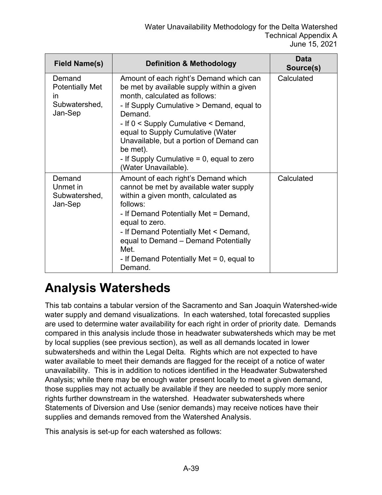| <b>Field Name(s)</b>                                               | <b>Definition &amp; Methodology</b>                                                                                                                                                                                                                                                                                                                                                        | Data<br>Source(s) |
|--------------------------------------------------------------------|--------------------------------------------------------------------------------------------------------------------------------------------------------------------------------------------------------------------------------------------------------------------------------------------------------------------------------------------------------------------------------------------|-------------------|
| Demand<br><b>Potentially Met</b><br>in<br>Subwatershed,<br>Jan-Sep | Amount of each right's Demand which can<br>be met by available supply within a given<br>month, calculated as follows:<br>- If Supply Cumulative > Demand, equal to<br>Demand.<br>- If 0 < Supply Cumulative < Demand,<br>equal to Supply Cumulative (Water<br>Unavailable, but a portion of Demand can<br>be met).<br>- If Supply Cumulative $= 0$ , equal to zero<br>(Water Unavailable). | Calculated        |
| Demand<br>Unmet in<br>Subwatershed,<br>Jan-Sep                     | Amount of each right's Demand which<br>cannot be met by available water supply<br>within a given month, calculated as<br>follows:<br>- If Demand Potentially Met = Demand,<br>equal to zero.<br>- If Demand Potentially Met < Demand,<br>equal to Demand - Demand Potentially<br>Met.<br>- If Demand Potentially Met $= 0$ , equal to<br>Demand.                                           | Calculated        |

#### **Analysis Watersheds**

This tab contains a tabular version of the Sacramento and San Joaquin Watershed-wide water supply and demand visualizations. In each watershed, total forecasted supplies are used to determine water availability for each right in order of priority date. Demands compared in this analysis include those in headwater subwatersheds which may be met by local supplies (see previous section), as well as all demands located in lower subwatersheds and within the Legal Delta. Rights which are not expected to have water available to meet their demands are flagged for the receipt of a notice of water unavailability. This is in addition to notices identified in the Headwater Subwatershed Analysis; while there may be enough water present locally to meet a given demand, those supplies may not actually be available if they are needed to supply more senior rights further downstream in the watershed. Headwater subwatersheds where Statements of Diversion and Use (senior demands) may receive notices have their supplies and demands removed from the Watershed Analysis.

This analysis is set-up for each watershed as follows: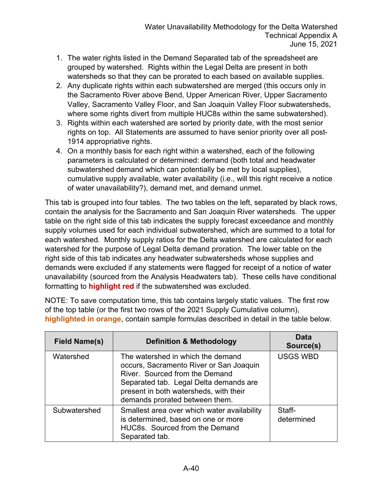- 1. The water rights listed in the Demand Separated tab of the spreadsheet are grouped by watershed. Rights within the Legal Delta are present in both watersheds so that they can be prorated to each based on available supplies.
- 2. Any duplicate rights within each subwatershed are merged (this occurs only in the Sacramento River above Bend, Upper American River, Upper Sacramento Valley, Sacramento Valley Floor, and San Joaquin Valley Floor subwatersheds, where some rights divert from multiple HUC8s within the same subwatershed).
- 3. Rights within each watershed are sorted by priority date, with the most senior rights on top. All Statements are assumed to have senior priority over all post-1914 appropriative rights.
- 4. On a monthly basis for each right within a watershed, each of the following parameters is calculated or determined: demand (both total and headwater subwatershed demand which can potentially be met by local supplies), cumulative supply available, water availability (i.e., will this right receive a notice of water unavailability?), demand met, and demand unmet.

This tab is grouped into four tables. The two tables on the left, separated by black rows, contain the analysis for the Sacramento and San Joaquin River watersheds. The upper table on the right side of this tab indicates the supply forecast exceedance and monthly supply volumes used for each individual subwatershed, which are summed to a total for each watershed. Monthly supply ratios for the Delta watershed are calculated for each watershed for the purpose of Legal Delta demand proration. The lower table on the right side of this tab indicates any headwater subwatersheds whose supplies and demands were excluded if any statements were flagged for receipt of a notice of water unavailability (sourced from the Analysis Headwaters tab). These cells have conditional formatting to **highlight red** if the subwatershed was excluded.

NOTE: To save computation time, this tab contains largely static values. The first row of the top table (or the first two rows of the 2021 Supply Cumulative column), **highlighted in orange**, contain sample formulas described in detail in the table below.

| Field Name(s) | <b>Definition &amp; Methodology</b>                                                                                                                                                                                                  | Data<br>Source(s)    |
|---------------|--------------------------------------------------------------------------------------------------------------------------------------------------------------------------------------------------------------------------------------|----------------------|
| Watershed     | The watershed in which the demand<br>occurs, Sacramento River or San Joaquin<br>River. Sourced from the Demand<br>Separated tab. Legal Delta demands are<br>present in both watersheds, with their<br>demands prorated between them. | <b>USGS WBD</b>      |
| Subwatershed  | Smallest area over which water availability<br>is determined, based on one or more<br>HUC8s. Sourced from the Demand<br>Separated tab.                                                                                               | Staff-<br>determined |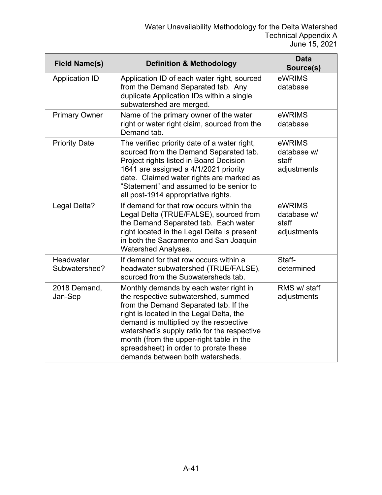| <b>Field Name(s)</b>       | <b>Definition &amp; Methodology</b>                                                                                                                                                                                                                                                                                                                                                   | <b>Data</b><br>Source(s)                      |
|----------------------------|---------------------------------------------------------------------------------------------------------------------------------------------------------------------------------------------------------------------------------------------------------------------------------------------------------------------------------------------------------------------------------------|-----------------------------------------------|
| <b>Application ID</b>      | Application ID of each water right, sourced<br>from the Demand Separated tab. Any<br>duplicate Application IDs within a single<br>subwatershed are merged.                                                                                                                                                                                                                            | eWRIMS<br>database                            |
| <b>Primary Owner</b>       | Name of the primary owner of the water<br>right or water right claim, sourced from the<br>Demand tab.                                                                                                                                                                                                                                                                                 | eWRIMS<br>database                            |
| <b>Priority Date</b>       | The verified priority date of a water right,<br>sourced from the Demand Separated tab.<br>Project rights listed in Board Decision<br>1641 are assigned a 4/1/2021 priority<br>date. Claimed water rights are marked as<br>"Statement" and assumed to be senior to<br>all post-1914 appropriative rights.                                                                              | eWRIMS<br>database w/<br>staff<br>adjustments |
| Legal Delta?               | If demand for that row occurs within the<br>Legal Delta (TRUE/FALSE), sourced from<br>the Demand Separated tab. Each water<br>right located in the Legal Delta is present<br>in both the Sacramento and San Joaquin<br><b>Watershed Analyses.</b>                                                                                                                                     | eWRIMS<br>database w/<br>staff<br>adjustments |
| Headwater<br>Subwatershed? | If demand for that row occurs within a<br>headwater subwatershed (TRUE/FALSE),<br>sourced from the Subwatersheds tab.                                                                                                                                                                                                                                                                 | Staff-<br>determined                          |
| 2018 Demand,<br>Jan-Sep    | Monthly demands by each water right in<br>the respective subwatershed, summed<br>from the Demand Separated tab. If the<br>right is located in the Legal Delta, the<br>demand is multiplied by the respective<br>watershed's supply ratio for the respective<br>month (from the upper-right table in the<br>spreadsheet) in order to prorate these<br>demands between both watersheds. | RMS w/ staff<br>adjustments                   |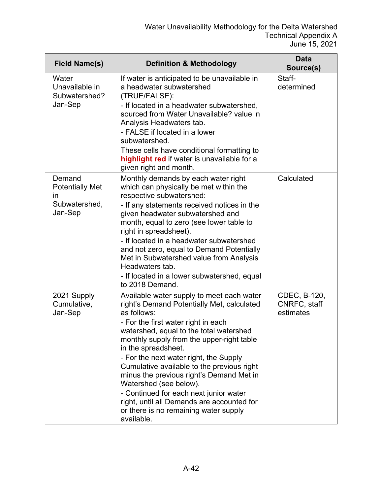| <b>Field Name(s)</b>                                                      | <b>Definition &amp; Methodology</b>                                                                                                                                                                                                                                                                                                                                                                                                                                                                                                                                       | <b>Data</b><br>Source(s)                  |
|---------------------------------------------------------------------------|---------------------------------------------------------------------------------------------------------------------------------------------------------------------------------------------------------------------------------------------------------------------------------------------------------------------------------------------------------------------------------------------------------------------------------------------------------------------------------------------------------------------------------------------------------------------------|-------------------------------------------|
| Water<br>Unavailable in<br>Subwatershed?<br>Jan-Sep                       | If water is anticipated to be unavailable in<br>a headwater subwatershed<br>(TRUE/FALSE):<br>- If located in a headwater subwatershed,<br>sourced from Water Unavailable? value in<br>Analysis Headwaters tab.<br>- FALSE if located in a lower<br>subwatershed.<br>These cells have conditional formatting to<br>highlight red if water is unavailable for a<br>given right and month.                                                                                                                                                                                   | Staff-<br>determined                      |
| Demand<br><b>Potentially Met</b><br><i>in</i><br>Subwatershed,<br>Jan-Sep | Monthly demands by each water right<br>which can physically be met within the<br>respective subwatershed:<br>- If any statements received notices in the<br>given headwater subwatershed and<br>month, equal to zero (see lower table to<br>right in spreadsheet).<br>- If located in a headwater subwatershed<br>and not zero, equal to Demand Potentially<br>Met in Subwatershed value from Analysis<br>Headwaters tab.<br>- If located in a lower subwatershed, equal<br>to 2018 Demand.                                                                               | Calculated                                |
| 2021 Supply<br>Cumulative,<br>Jan-Sep                                     | Available water supply to meet each water<br>right's Demand Potentially Met, calculated<br>as follows:<br>- For the first water right in each<br>watershed, equal to the total watershed<br>monthly supply from the upper-right table<br>in the spreadsheet.<br>- For the next water right, the Supply<br>Cumulative available to the previous right<br>minus the previous right's Demand Met in<br>Watershed (see below).<br>- Continued for each next junior water<br>right, until all Demands are accounted for<br>or there is no remaining water supply<br>available. | CDEC, B-120,<br>CNRFC, staff<br>estimates |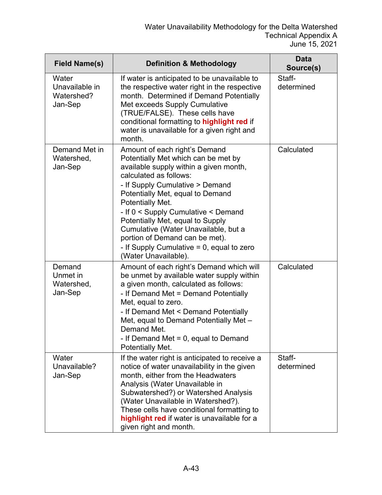| <b>Field Name(s)</b>                             | <b>Definition &amp; Methodology</b>                                                                                                                                                                                                                                                                                                                                                                                                                              | <b>Data</b><br>Source(s) |
|--------------------------------------------------|------------------------------------------------------------------------------------------------------------------------------------------------------------------------------------------------------------------------------------------------------------------------------------------------------------------------------------------------------------------------------------------------------------------------------------------------------------------|--------------------------|
| Water<br>Unavailable in<br>Watershed?<br>Jan-Sep | If water is anticipated to be unavailable to<br>the respective water right in the respective<br>month. Determined if Demand Potentially<br>Met exceeds Supply Cumulative<br>(TRUE/FALSE). These cells have<br>conditional formatting to highlight red if<br>water is unavailable for a given right and<br>month.                                                                                                                                                 | Staff-<br>determined     |
| Demand Met in<br>Watershed,<br>Jan-Sep           | Amount of each right's Demand<br>Potentially Met which can be met by<br>available supply within a given month,<br>calculated as follows:<br>- If Supply Cumulative > Demand<br>Potentially Met, equal to Demand<br>Potentially Met.<br>- If 0 < Supply Cumulative < Demand<br>Potentially Met, equal to Supply<br>Cumulative (Water Unavailable, but a<br>portion of Demand can be met).<br>- If Supply Cumulative $= 0$ , equal to zero<br>(Water Unavailable). | Calculated               |
| Demand<br>Unmet in<br>Watershed,<br>Jan-Sep      | Amount of each right's Demand which will<br>be unmet by available water supply within<br>a given month, calculated as follows:<br>- If Demand Met = Demand Potentially<br>Met, equal to zero.<br>- If Demand Met < Demand Potentially<br>Met, equal to Demand Potentially Met -<br>Demand Met.<br>- If Demand Met $= 0$ , equal to Demand<br>Potentially Met.                                                                                                    | Calculated               |
| Water<br>Unavailable?<br>Jan-Sep                 | If the water right is anticipated to receive a<br>notice of water unavailability in the given<br>month, either from the Headwaters<br>Analysis (Water Unavailable in<br>Subwatershed?) or Watershed Analysis<br>(Water Unavailable in Watershed?).<br>These cells have conditional formatting to<br>highlight red if water is unavailable for a<br>given right and month.                                                                                        | Staff-<br>determined     |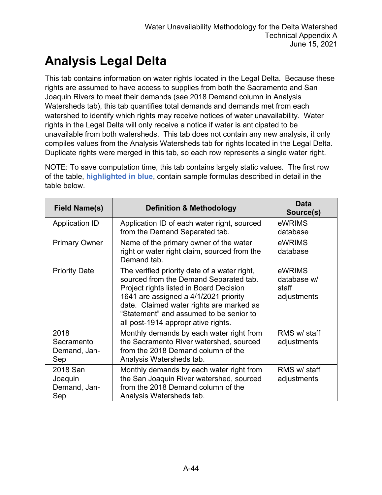# **Analysis Legal Delta**

This tab contains information on water rights located in the Legal Delta. Because these rights are assumed to have access to supplies from both the Sacramento and San Joaquin Rivers to meet their demands (see 2018 Demand column in Analysis Watersheds tab), this tab quantifies total demands and demands met from each watershed to identify which rights may receive notices of water unavailability. Water rights in the Legal Delta will only receive a notice if water is anticipated to be unavailable from both watersheds. This tab does not contain any new analysis, it only compiles values from the Analysis Watersheds tab for rights located in the Legal Delta. Duplicate rights were merged in this tab, so each row represents a single water right.

NOTE: To save computation time, this tab contains largely static values. The first row of the table, **highlighted in blue**, contain sample formulas described in detail in the table below.

| <b>Field Name(s)</b>                       | <b>Definition &amp; Methodology</b>                                                                                                                                                                                                                                                                      | Data<br>Source(s)                             |
|--------------------------------------------|----------------------------------------------------------------------------------------------------------------------------------------------------------------------------------------------------------------------------------------------------------------------------------------------------------|-----------------------------------------------|
| <b>Application ID</b>                      | Application ID of each water right, sourced<br>from the Demand Separated tab.                                                                                                                                                                                                                            | eWRIMS<br>database                            |
| <b>Primary Owner</b>                       | Name of the primary owner of the water<br>right or water right claim, sourced from the<br>Demand tab.                                                                                                                                                                                                    | eWRIMS<br>database                            |
| <b>Priority Date</b>                       | The verified priority date of a water right,<br>sourced from the Demand Separated tab.<br>Project rights listed in Board Decision<br>1641 are assigned a 4/1/2021 priority<br>date. Claimed water rights are marked as<br>"Statement" and assumed to be senior to<br>all post-1914 appropriative rights. | eWRIMS<br>database w/<br>staff<br>adjustments |
| 2018<br>Sacramento<br>Demand, Jan-<br>Sep  | Monthly demands by each water right from<br>the Sacramento River watershed, sourced<br>from the 2018 Demand column of the<br>Analysis Watersheds tab.                                                                                                                                                    | RMS w/ staff<br>adjustments                   |
| 2018 San<br>Joaquin<br>Demand, Jan-<br>Sep | Monthly demands by each water right from<br>the San Joaquin River watershed, sourced<br>from the 2018 Demand column of the<br>Analysis Watersheds tab.                                                                                                                                                   | RMS w/ staff<br>adjustments                   |